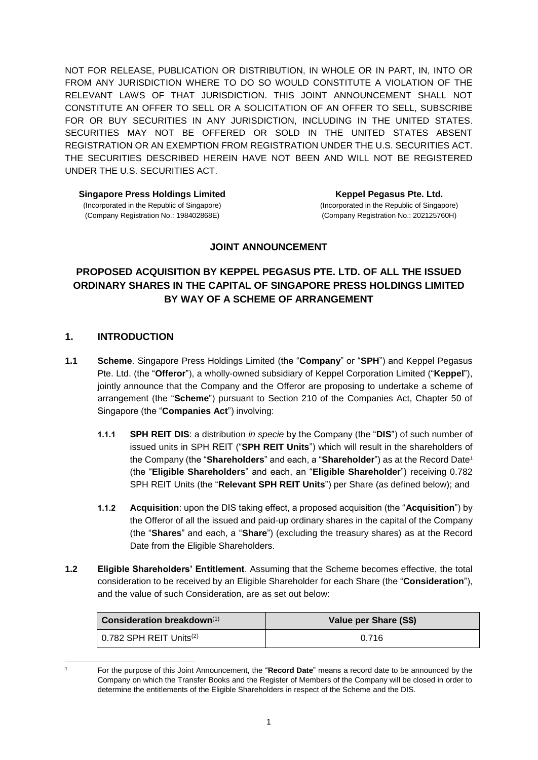NOT FOR RELEASE, PUBLICATION OR DISTRIBUTION, IN WHOLE OR IN PART, IN, INTO OR FROM ANY JURISDICTION WHERE TO DO SO WOULD CONSTITUTE A VIOLATION OF THE RELEVANT LAWS OF THAT JURISDICTION. THIS JOINT ANNOUNCEMENT SHALL NOT CONSTITUTE AN OFFER TO SELL OR A SOLICITATION OF AN OFFER TO SELL, SUBSCRIBE FOR OR BUY SECURITIES IN ANY JURISDICTION, INCLUDING IN THE UNITED STATES. SECURITIES MAY NOT BE OFFERED OR SOLD IN THE UNITED STATES ABSENT REGISTRATION OR AN EXEMPTION FROM REGISTRATION UNDER THE U.S. SECURITIES ACT. THE SECURITIES DESCRIBED HEREIN HAVE NOT BEEN AND WILL NOT BE REGISTERED UNDER THE U.S. SECURITIES ACT.

**Singapore Press Holdings Limited** (Incorporated in the Republic of Singapore) (Company Registration No.: 198402868E)

**Keppel Pegasus Pte. Ltd.** (Incorporated in the Republic of Singapore) (Company Registration No.: 202125760H)

### **JOINT ANNOUNCEMENT**

# **PROPOSED ACQUISITION BY KEPPEL PEGASUS PTE. LTD. OF ALL THE ISSUED ORDINARY SHARES IN THE CAPITAL OF SINGAPORE PRESS HOLDINGS LIMITED BY WAY OF A SCHEME OF ARRANGEMENT**

### **1. INTRODUCTION**

- **1.1 Scheme**. Singapore Press Holdings Limited (the "**Company**" or "**SPH**") and Keppel Pegasus Pte. Ltd. (the "**Offeror**"), a wholly-owned subsidiary of Keppel Corporation Limited ("**Keppel**"), jointly announce that the Company and the Offeror are proposing to undertake a scheme of arrangement (the "**Scheme**") pursuant to Section 210 of the Companies Act, Chapter 50 of Singapore (the "**Companies Act**") involving:
	- **1.1.1 SPH REIT DIS**: a distribution *in specie* by the Company (the "**DIS**") of such number of issued units in SPH REIT ("**SPH REIT Units**") which will result in the shareholders of the Company (the "**Shareholders**" and each, a "**Shareholder**") as at the Record Date<sup>1</sup> (the "**Eligible Shareholders**" and each, an "**Eligible Shareholder**") receiving 0.782 SPH REIT Units (the "**Relevant SPH REIT Units**") per Share (as defined below); and
	- **1.1.2 Acquisition**: upon the DIS taking effect, a proposed acquisition (the "**Acquisition**") by the Offeror of all the issued and paid-up ordinary shares in the capital of the Company (the "**Shares**" and each, a "**Share**") (excluding the treasury shares) as at the Record Date from the Eligible Shareholders.
- **1.2 Eligible Shareholders' Entitlement**. Assuming that the Scheme becomes effective, the total consideration to be received by an Eligible Shareholder for each Share (the "**Consideration**"), and the value of such Consideration, are as set out below:

| Consideration breakdown $(1)$               | Value per Share (S\$) |
|---------------------------------------------|-----------------------|
| $\vert$ 0.782 SPH REIT Units <sup>(2)</sup> | 0.716                 |

<sup>-</sup>

<sup>1</sup> For the purpose of this Joint Announcement, the "**Record Date**" means a record date to be announced by the Company on which the Transfer Books and the Register of Members of the Company will be closed in order to determine the entitlements of the Eligible Shareholders in respect of the Scheme and the DIS.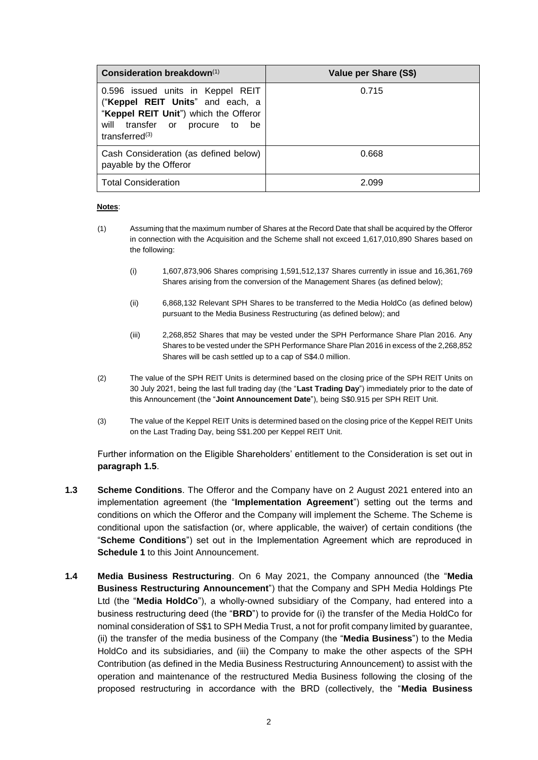| Consideration breakdown(1)                                                                                                                                                  | Value per Share (S\$) |
|-----------------------------------------------------------------------------------------------------------------------------------------------------------------------------|-----------------------|
| 0.596 issued units in Keppel REIT<br>("Keppel REIT Units" and each, a<br>"Keppel REIT Unit") which the Offeror<br>transfer or procure to<br>will<br>be<br>transferred $(3)$ | 0.715                 |
| Cash Consideration (as defined below)<br>payable by the Offeror                                                                                                             | 0.668                 |
| <b>Total Consideration</b>                                                                                                                                                  | 2.099                 |

#### **Notes**:

- (1) Assuming that the maximum number of Shares at the Record Date that shall be acquired by the Offeror in connection with the Acquisition and the Scheme shall not exceed 1,617,010,890 Shares based on the following:
	- (i) 1,607,873,906 Shares comprising 1,591,512,137 Shares currently in issue and 16,361,769 Shares arising from the conversion of the Management Shares (as defined below);
	- (ii) 6,868,132 Relevant SPH Shares to be transferred to the Media HoldCo (as defined below) pursuant to the Media Business Restructuring (as defined below); and
	- (iii) 2,268,852 Shares that may be vested under the SPH Performance Share Plan 2016. Any Shares to be vested under the SPH Performance Share Plan 2016 in excess of the 2,268,852 Shares will be cash settled up to a cap of S\$4.0 million.
- (2) The value of the SPH REIT Units is determined based on the closing price of the SPH REIT Units on 30 July 2021, being the last full trading day (the "**Last Trading Day**") immediately prior to the date of this Announcement (the "**Joint Announcement Date**"), being S\$0.915 per SPH REIT Unit.
- (3) The value of the Keppel REIT Units is determined based on the closing price of the Keppel REIT Units on the Last Trading Day, being S\$1.200 per Keppel REIT Unit.

Further information on the Eligible Shareholders' entitlement to the Consideration is set out in **paragraph [1.5](#page-2-0)**.

- **1.3 Scheme Conditions**. The Offeror and the Company have on 2 August 2021 entered into an implementation agreement (the "**Implementation Agreement**") setting out the terms and conditions on which the Offeror and the Company will implement the Scheme. The Scheme is conditional upon the satisfaction (or, where applicable, the waiver) of certain conditions (the "**Scheme Conditions**") set out in the Implementation Agreement which are reproduced in **Schedule 1** to this Joint Announcement.
- **1.4 Media Business Restructuring**. On 6 May 2021, the Company announced (the "**Media Business Restructuring Announcement**") that the Company and SPH Media Holdings Pte Ltd (the "**Media HoldCo**"), a wholly-owned subsidiary of the Company, had entered into a business restructuring deed (the "**BRD**") to provide for (i) the transfer of the Media HoldCo for nominal consideration of S\$1 to SPH Media Trust, a not for profit company limited by guarantee, (ii) the transfer of the media business of the Company (the "**Media Business**") to the Media HoldCo and its subsidiaries, and (iii) the Company to make the other aspects of the SPH Contribution (as defined in the Media Business Restructuring Announcement) to assist with the operation and maintenance of the restructured Media Business following the closing of the proposed restructuring in accordance with the BRD (collectively, the "**Media Business**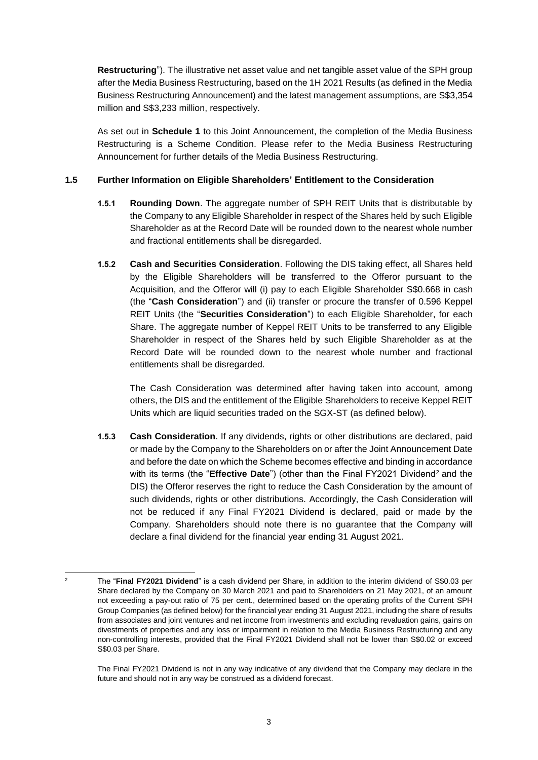**Restructuring**"). The illustrative net asset value and net tangible asset value of the SPH group after the Media Business Restructuring, based on the 1H 2021 Results (as defined in the Media Business Restructuring Announcement) and the latest management assumptions, are S\$3,354 million and S\$3,233 million, respectively.

As set out in **Schedule 1** to this Joint Announcement, the completion of the Media Business Restructuring is a Scheme Condition. Please refer to the Media Business Restructuring Announcement for further details of the Media Business Restructuring.

### <span id="page-2-0"></span>**1.5 Further Information on Eligible Shareholders' Entitlement to the Consideration**

- **1.5.1 Rounding Down**. The aggregate number of SPH REIT Units that is distributable by the Company to any Eligible Shareholder in respect of the Shares held by such Eligible Shareholder as at the Record Date will be rounded down to the nearest whole number and fractional entitlements shall be disregarded.
- **1.5.2 Cash and Securities Consideration**. Following the DIS taking effect, all Shares held by the Eligible Shareholders will be transferred to the Offeror pursuant to the Acquisition, and the Offeror will (i) pay to each Eligible Shareholder S\$0.668 in cash (the "**Cash Consideration**") and (ii) transfer or procure the transfer of 0.596 Keppel REIT Units (the "**Securities Consideration**") to each Eligible Shareholder, for each Share. The aggregate number of Keppel REIT Units to be transferred to any Eligible Shareholder in respect of the Shares held by such Eligible Shareholder as at the Record Date will be rounded down to the nearest whole number and fractional entitlements shall be disregarded.

The Cash Consideration was determined after having taken into account, among others, the DIS and the entitlement of the Eligible Shareholders to receive Keppel REIT Units which are liquid securities traded on the SGX-ST (as defined below).

**1.5.3 Cash Consideration**. If any dividends, rights or other distributions are declared, paid or made by the Company to the Shareholders on or after the Joint Announcement Date and before the date on which the Scheme becomes effective and binding in accordance with its terms (the "**Effective Date**") (other than the Final FY2021 Dividend<sup>2</sup> and the DIS) the Offeror reserves the right to reduce the Cash Consideration by the amount of such dividends, rights or other distributions. Accordingly, the Cash Consideration will not be reduced if any Final FY2021 Dividend is declared, paid or made by the Company. Shareholders should note there is no guarantee that the Company will declare a final dividend for the financial year ending 31 August 2021.

 $\overline{2}$ <sup>2</sup> The "**Final FY2021 Dividend**" is a cash dividend per Share, in addition to the interim dividend of S\$0.03 per Share declared by the Company on 30 March 2021 and paid to Shareholders on 21 May 2021, of an amount not exceeding a pay-out ratio of 75 per cent., determined based on the operating profits of the Current SPH Group Companies (as defined below) for the financial year ending 31 August 2021, including the share of results from associates and joint ventures and net income from investments and excluding revaluation gains, gains on divestments of properties and any loss or impairment in relation to the Media Business Restructuring and any non-controlling interests, provided that the Final FY2021 Dividend shall not be lower than S\$0.02 or exceed S\$0.03 per Share.

The Final FY2021 Dividend is not in any way indicative of any dividend that the Company may declare in the future and should not in any way be construed as a dividend forecast.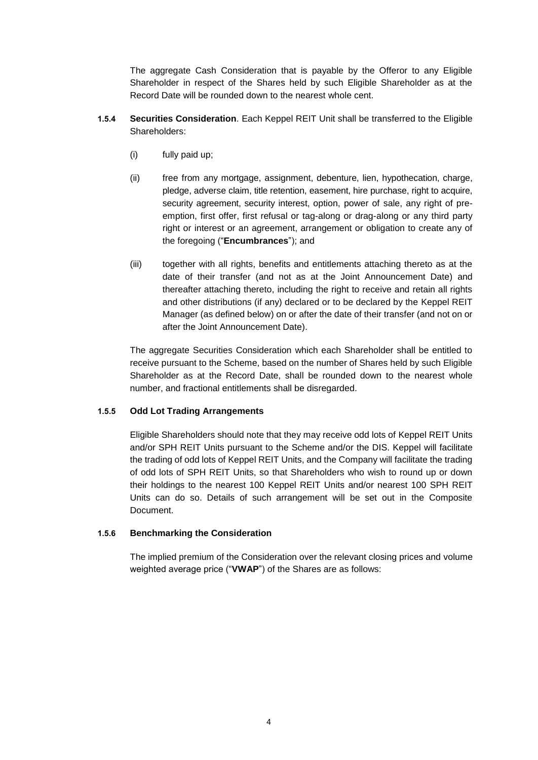The aggregate Cash Consideration that is payable by the Offeror to any Eligible Shareholder in respect of the Shares held by such Eligible Shareholder as at the Record Date will be rounded down to the nearest whole cent.

- **1.5.4 Securities Consideration**. Each Keppel REIT Unit shall be transferred to the Eligible Shareholders:
	- (i) fully paid up;
	- (ii) free from any mortgage, assignment, debenture, lien, hypothecation, charge, pledge, adverse claim, title retention, easement, hire purchase, right to acquire, security agreement, security interest, option, power of sale, any right of preemption, first offer, first refusal or tag-along or drag-along or any third party right or interest or an agreement, arrangement or obligation to create any of the foregoing ("**Encumbrances**"); and
	- (iii) together with all rights, benefits and entitlements attaching thereto as at the date of their transfer (and not as at the Joint Announcement Date) and thereafter attaching thereto, including the right to receive and retain all rights and other distributions (if any) declared or to be declared by the Keppel REIT Manager (as defined below) on or after the date of their transfer (and not on or after the Joint Announcement Date).

The aggregate Securities Consideration which each Shareholder shall be entitled to receive pursuant to the Scheme, based on the number of Shares held by such Eligible Shareholder as at the Record Date, shall be rounded down to the nearest whole number, and fractional entitlements shall be disregarded.

### **1.5.5 Odd Lot Trading Arrangements**

Eligible Shareholders should note that they may receive odd lots of Keppel REIT Units and/or SPH REIT Units pursuant to the Scheme and/or the DIS. Keppel will facilitate the trading of odd lots of Keppel REIT Units, and the Company will facilitate the trading of odd lots of SPH REIT Units, so that Shareholders who wish to round up or down their holdings to the nearest 100 Keppel REIT Units and/or nearest 100 SPH REIT Units can do so. Details of such arrangement will be set out in the Composite Document.

### **1.5.6 Benchmarking the Consideration**

The implied premium of the Consideration over the relevant closing prices and volume weighted average price ("**VWAP**") of the Shares are as follows: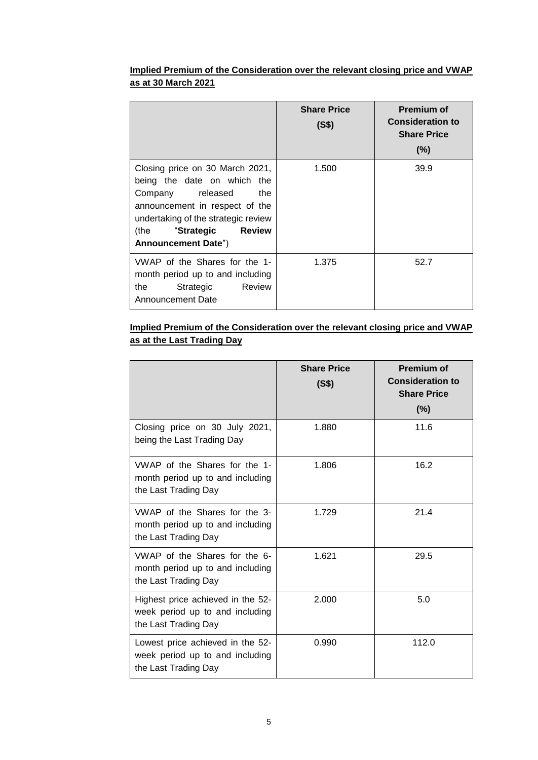## **Implied Premium of the Consideration over the relevant closing price and VWAP as at 30 March 2021**

|                                                                                                                                                                                                                                         | <b>Share Price</b><br>(S\$) | <b>Premium of</b><br><b>Consideration to</b><br><b>Share Price</b><br>$(\%)$ |
|-----------------------------------------------------------------------------------------------------------------------------------------------------------------------------------------------------------------------------------------|-----------------------------|------------------------------------------------------------------------------|
| Closing price on 30 March 2021,<br>being the date on which the<br>Company released<br>the<br>announcement in respect of the<br>undertaking of the strategic review<br>(the<br><b>Review</b><br>"Strategic<br><b>Announcement Date")</b> | 1.500                       | 39.9                                                                         |
| VWAP of the Shares for the 1-<br>month period up to and including<br>Review<br>the<br>Strategic<br>Announcement Date                                                                                                                    | 1.375                       | 52.7                                                                         |

## **Implied Premium of the Consideration over the relevant closing price and VWAP as at the Last Trading Day**

|                                                                                              | <b>Share Price</b><br>(S\$) | <b>Premium of</b><br><b>Consideration to</b><br><b>Share Price</b><br>$(\%)$ |
|----------------------------------------------------------------------------------------------|-----------------------------|------------------------------------------------------------------------------|
| Closing price on 30 July 2021,<br>being the Last Trading Day                                 | 1.880                       | 11.6                                                                         |
| VWAP of the Shares for the 1-<br>month period up to and including<br>the Last Trading Day    | 1.806                       | 16.2                                                                         |
| VWAP of the Shares for the 3-<br>month period up to and including<br>the Last Trading Day    | 1.729                       | 21.4                                                                         |
| VWAP of the Shares for the 6-<br>month period up to and including<br>the Last Trading Day    | 1.621                       | 29.5                                                                         |
| Highest price achieved in the 52-<br>week period up to and including<br>the Last Trading Day | 2.000                       | 5.0                                                                          |
| Lowest price achieved in the 52-<br>week period up to and including<br>the Last Trading Day  | 0.990                       | 112.0                                                                        |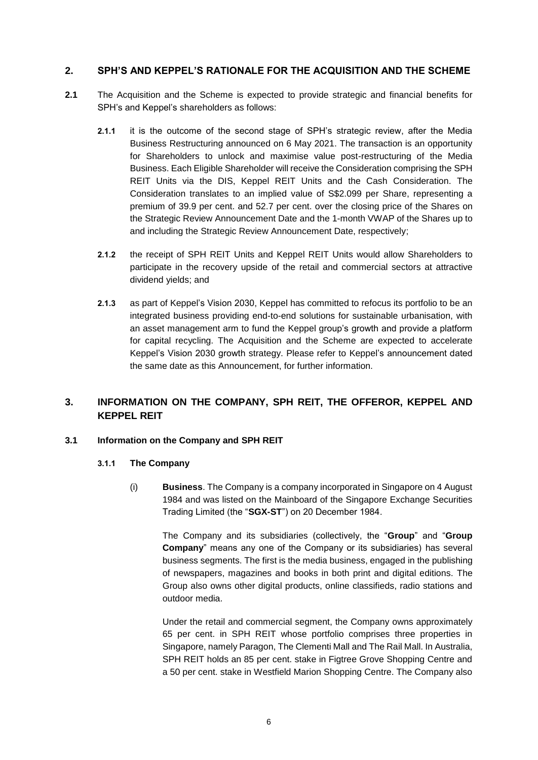### **2. SPH'S AND KEPPEL'S RATIONALE FOR THE ACQUISITION AND THE SCHEME**

- **2.1** The Acquisition and the Scheme is expected to provide strategic and financial benefits for SPH's and Keppel's shareholders as follows:
	- **2.1.1** it is the outcome of the second stage of SPH's strategic review, after the Media Business Restructuring announced on 6 May 2021. The transaction is an opportunity for Shareholders to unlock and maximise value post-restructuring of the Media Business. Each Eligible Shareholder will receive the Consideration comprising the SPH REIT Units via the DIS, Keppel REIT Units and the Cash Consideration. The Consideration translates to an implied value of S\$2.099 per Share, representing a premium of 39.9 per cent. and 52.7 per cent. over the closing price of the Shares on the Strategic Review Announcement Date and the 1-month VWAP of the Shares up to and including the Strategic Review Announcement Date, respectively;
	- **2.1.2** the receipt of SPH REIT Units and Keppel REIT Units would allow Shareholders to participate in the recovery upside of the retail and commercial sectors at attractive dividend yields; and
	- **2.1.3** as part of Keppel's Vision 2030, Keppel has committed to refocus its portfolio to be an integrated business providing end-to-end solutions for sustainable urbanisation, with an asset management arm to fund the Keppel group's growth and provide a platform for capital recycling. The Acquisition and the Scheme are expected to accelerate Keppel's Vision 2030 growth strategy. Please refer to Keppel's announcement dated the same date as this Announcement, for further information.

# **3. INFORMATION ON THE COMPANY, SPH REIT, THE OFFEROR, KEPPEL AND KEPPEL REIT**

### **3.1 Information on the Company and SPH REIT**

### **3.1.1 The Company**

(i) **Business**. The Company is a company incorporated in Singapore on 4 August 1984 and was listed on the Mainboard of the Singapore Exchange Securities Trading Limited (the "**SGX-ST**") on 20 December 1984.

The Company and its subsidiaries (collectively, the "**Group**" and "**Group Company**" means any one of the Company or its subsidiaries) has several business segments. The first is the media business, engaged in the publishing of newspapers, magazines and books in both print and digital editions. The Group also owns other digital products, online classifieds, radio stations and outdoor media.

Under the retail and commercial segment, the Company owns approximately 65 per cent. in SPH REIT whose portfolio comprises three properties in Singapore, namely Paragon, The Clementi Mall and The Rail Mall. In Australia, SPH REIT holds an 85 per cent. stake in Figtree Grove Shopping Centre and a 50 per cent. stake in Westfield Marion Shopping Centre. The Company also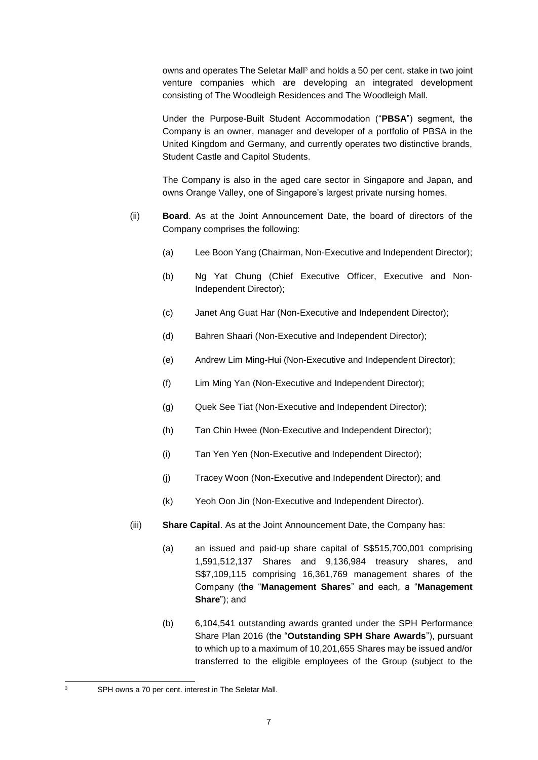owns and operates The Seletar Mall<sup>3</sup> and holds a 50 per cent. stake in two joint venture companies which are developing an integrated development consisting of The Woodleigh Residences and The Woodleigh Mall.

Under the Purpose-Built Student Accommodation ("**PBSA**") segment, the Company is an owner, manager and developer of a portfolio of PBSA in the United Kingdom and Germany, and currently operates two distinctive brands, Student Castle and Capitol Students.

The Company is also in the aged care sector in Singapore and Japan, and owns Orange Valley, one of Singapore's largest private nursing homes.

- (ii) **Board**. As at the Joint Announcement Date, the board of directors of the Company comprises the following:
	- (a) Lee Boon Yang (Chairman, Non-Executive and Independent Director);
	- (b) Ng Yat Chung (Chief Executive Officer, Executive and Non-Independent Director);
	- (c) Janet Ang Guat Har (Non-Executive and Independent Director);
	- (d) Bahren Shaari (Non-Executive and Independent Director);
	- (e) Andrew Lim Ming-Hui (Non-Executive and Independent Director);
	- (f) Lim Ming Yan (Non-Executive and Independent Director);
	- (g) Quek See Tiat (Non-Executive and Independent Director);
	- (h) Tan Chin Hwee (Non-Executive and Independent Director);
	- (i) Tan Yen Yen (Non-Executive and Independent Director);
	- (j) Tracey Woon (Non-Executive and Independent Director); and
	- (k) Yeoh Oon Jin (Non-Executive and Independent Director).
- (iii) **Share Capital**. As at the Joint Announcement Date, the Company has:
	- (a) an issued and paid-up share capital of S\$515,700,001 comprising 1,591,512,137 Shares and 9,136,984 treasury shares, and S\$7,109,115 comprising 16,361,769 management shares of the Company (the "**Management Shares**" and each, a "**Management Share**"); and
	- (b) 6,104,541 outstanding awards granted under the SPH Performance Share Plan 2016 (the "**Outstanding SPH Share Awards**"), pursuant to which up to a maximum of 10,201,655 Shares may be issued and/or transferred to the eligible employees of the Group (subject to the

-

SPH owns a 70 per cent. interest in The Seletar Mall.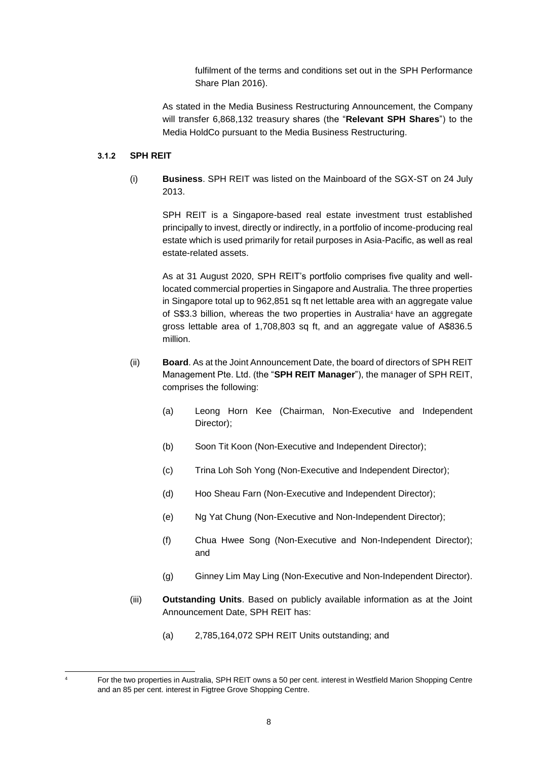fulfilment of the terms and conditions set out in the SPH Performance Share Plan 2016).

As stated in the Media Business Restructuring Announcement, the Company will transfer 6,868,132 treasury shares (the "**Relevant SPH Shares**") to the Media HoldCo pursuant to the Media Business Restructuring.

### **3.1.2 SPH REIT**

(i) **Business**. SPH REIT was listed on the Mainboard of the SGX-ST on 24 July 2013.

SPH REIT is a Singapore-based real estate investment trust established principally to invest, directly or indirectly, in a portfolio of income-producing real estate which is used primarily for retail purposes in Asia-Pacific, as well as real estate-related assets.

As at 31 August 2020, SPH REIT's portfolio comprises five quality and welllocated commercial properties in Singapore and Australia. The three properties in Singapore total up to 962,851 sq ft net lettable area with an aggregate value of S\$3.3 billion, whereas the two properties in Australia<sup>4</sup> have an aggregate gross lettable area of 1,708,803 sq ft, and an aggregate value of A\$836.5 million.

- (ii) **Board**. As at the Joint Announcement Date, the board of directors of SPH REIT Management Pte. Ltd. (the "**SPH REIT Manager**"), the manager of SPH REIT, comprises the following:
	- (a) Leong Horn Kee (Chairman, Non-Executive and Independent Director);
	- (b) Soon Tit Koon (Non-Executive and Independent Director);
	- (c) Trina Loh Soh Yong (Non-Executive and Independent Director);
	- (d) Hoo Sheau Farn (Non-Executive and Independent Director);
	- (e) Ng Yat Chung (Non-Executive and Non-Independent Director);
	- (f) Chua Hwee Song (Non-Executive and Non-Independent Director); and
	- (g) Ginney Lim May Ling (Non-Executive and Non-Independent Director).
- (iii) **Outstanding Units**. Based on publicly available information as at the Joint Announcement Date, SPH REIT has:
	- (a) 2,785,164,072 SPH REIT Units outstanding; and

<sup>-</sup><sup>4</sup> For the two properties in Australia, SPH REIT owns a 50 per cent. interest in Westfield Marion Shopping Centre and an 85 per cent. interest in Figtree Grove Shopping Centre.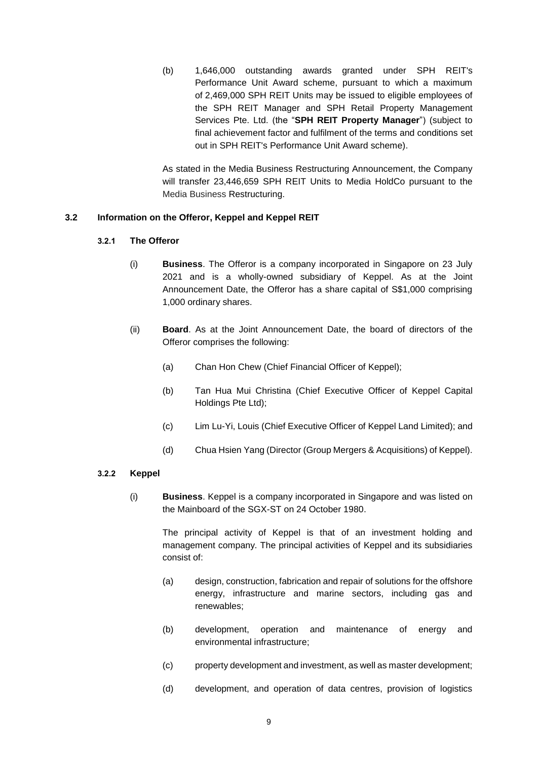(b) 1,646,000 outstanding awards granted under SPH REIT's Performance Unit Award scheme, pursuant to which a maximum of 2,469,000 SPH REIT Units may be issued to eligible employees of the SPH REIT Manager and SPH Retail Property Management Services Pte. Ltd. (the "**SPH REIT Property Manager**") (subject to final achievement factor and fulfilment of the terms and conditions set out in SPH REIT's Performance Unit Award scheme).

As stated in the Media Business Restructuring Announcement, the Company will transfer 23,446,659 SPH REIT Units to Media HoldCo pursuant to the Media Business Restructuring.

### **3.2 Information on the Offeror, Keppel and Keppel REIT**

#### **3.2.1 The Offeror**

- (i) **Business**. The Offeror is a company incorporated in Singapore on 23 July 2021 and is a wholly-owned subsidiary of Keppel. As at the Joint Announcement Date, the Offeror has a share capital of S\$1,000 comprising 1,000 ordinary shares.
- (ii) **Board**. As at the Joint Announcement Date, the board of directors of the Offeror comprises the following:
	- (a) Chan Hon Chew (Chief Financial Officer of Keppel);
	- (b) Tan Hua Mui Christina (Chief Executive Officer of Keppel Capital Holdings Pte Ltd);
	- (c) Lim Lu-Yi, Louis (Chief Executive Officer of Keppel Land Limited); and
	- (d) Chua Hsien Yang (Director (Group Mergers & Acquisitions) of Keppel).

#### **3.2.2 Keppel**

(i) **Business**. Keppel is a company incorporated in Singapore and was listed on the Mainboard of the SGX-ST on 24 October 1980.

The principal activity of Keppel is that of an investment holding and management company. The principal activities of Keppel and its subsidiaries consist of:

- (a) design, construction, fabrication and repair of solutions for the offshore energy, infrastructure and marine sectors, including gas and renewables;
- (b) development, operation and maintenance of energy and environmental infrastructure;
- (c) property development and investment, as well as master development;
- (d) development, and operation of data centres, provision of logistics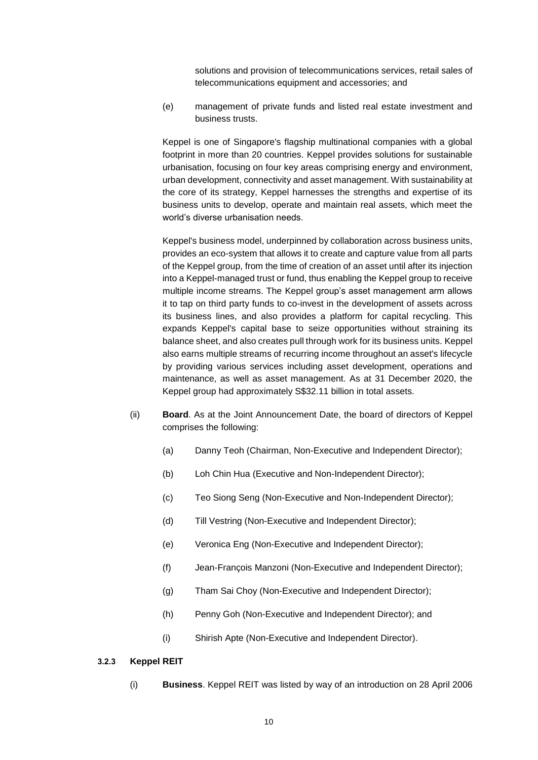solutions and provision of telecommunications services, retail sales of telecommunications equipment and accessories; and

(e) management of private funds and listed real estate investment and business trusts.

Keppel is one of Singapore's flagship multinational companies with a global footprint in more than 20 countries. Keppel provides solutions for sustainable urbanisation, focusing on four key areas comprising energy and environment, urban development, connectivity and asset management. With sustainability at the core of its strategy, Keppel harnesses the strengths and expertise of its business units to develop, operate and maintain real assets, which meet the world's diverse urbanisation needs.

Keppel's business model, underpinned by collaboration across business units, provides an eco-system that allows it to create and capture value from all parts of the Keppel group, from the time of creation of an asset until after its injection into a Keppel-managed trust or fund, thus enabling the Keppel group to receive multiple income streams. The Keppel group's asset management arm allows it to tap on third party funds to co-invest in the development of assets across its business lines, and also provides a platform for capital recycling. This expands Keppel's capital base to seize opportunities without straining its balance sheet, and also creates pull through work for its business units. Keppel also earns multiple streams of recurring income throughout an asset's lifecycle by providing various services including asset development, operations and maintenance, as well as asset management. As at 31 December 2020, the Keppel group had approximately S\$32.11 billion in total assets.

- (ii) **Board**. As at the Joint Announcement Date, the board of directors of Keppel comprises the following:
	- (a) Danny Teoh (Chairman, Non-Executive and Independent Director);
	- (b) Loh Chin Hua (Executive and Non-Independent Director);
	- (c) Teo Siong Seng (Non-Executive and Non-Independent Director);
	- (d) Till Vestring (Non-Executive and Independent Director);
	- (e) Veronica Eng (Non-Executive and Independent Director);
	- (f) Jean-François Manzoni (Non-Executive and Independent Director);
	- (g) Tham Sai Choy (Non-Executive and Independent Director);
	- (h) Penny Goh (Non-Executive and Independent Director); and
	- (i) Shirish Apte (Non-Executive and Independent Director).

#### **3.2.3 Keppel REIT**

(i) **Business**. Keppel REIT was listed by way of an introduction on 28 April 2006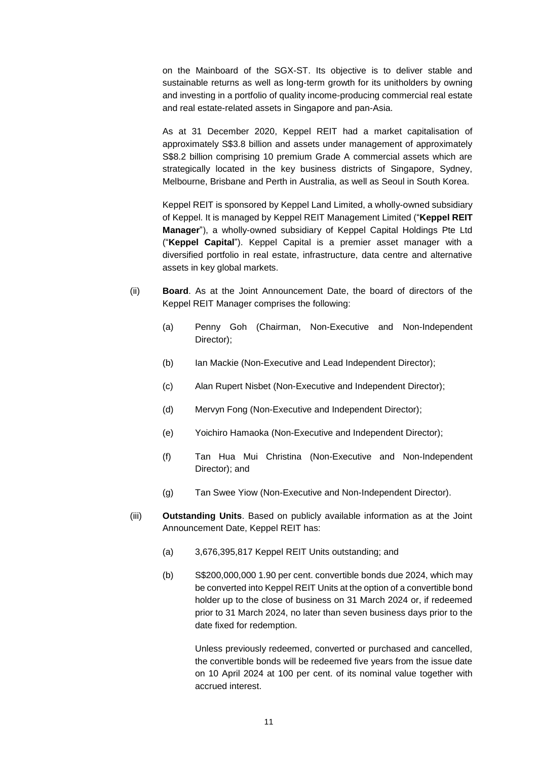on the Mainboard of the SGX-ST. Its objective is to deliver stable and sustainable returns as well as long-term growth for its unitholders by owning and investing in a portfolio of quality income-producing commercial real estate and real estate-related assets in Singapore and pan-Asia.

As at 31 December 2020, Keppel REIT had a market capitalisation of approximately S\$3.8 billion and assets under management of approximately S\$8.2 billion comprising 10 premium Grade A commercial assets which are strategically located in the key business districts of Singapore, Sydney, Melbourne, Brisbane and Perth in Australia, as well as Seoul in South Korea.

Keppel REIT is sponsored by Keppel Land Limited, a wholly-owned subsidiary of Keppel. It is managed by Keppel REIT Management Limited ("**Keppel REIT Manager**"), a wholly-owned subsidiary of Keppel Capital Holdings Pte Ltd ("**Keppel Capital**"). Keppel Capital is a premier asset manager with a diversified portfolio in real estate, infrastructure, data centre and alternative assets in key global markets.

- (ii) **Board**. As at the Joint Announcement Date, the board of directors of the Keppel REIT Manager comprises the following:
	- (a) Penny Goh (Chairman, Non-Executive and Non-Independent Director);
	- (b) Ian Mackie (Non-Executive and Lead Independent Director);
	- (c) Alan Rupert Nisbet (Non-Executive and Independent Director);
	- (d) Mervyn Fong (Non-Executive and Independent Director);
	- (e) Yoichiro Hamaoka (Non-Executive and Independent Director);
	- (f) Tan Hua Mui Christina (Non-Executive and Non-Independent Director); and
	- (g) Tan Swee Yiow (Non-Executive and Non-Independent Director).
- (iii) **Outstanding Units**. Based on publicly available information as at the Joint Announcement Date, Keppel REIT has:
	- (a) 3,676,395,817 Keppel REIT Units outstanding; and
	- (b) S\$200,000,000 1.90 per cent. convertible bonds due 2024, which may be converted into Keppel REIT Units at the option of a convertible bond holder up to the close of business on 31 March 2024 or, if redeemed prior to 31 March 2024, no later than seven business days prior to the date fixed for redemption.

Unless previously redeemed, converted or purchased and cancelled, the convertible bonds will be redeemed five years from the issue date on 10 April 2024 at 100 per cent. of its nominal value together with accrued interest.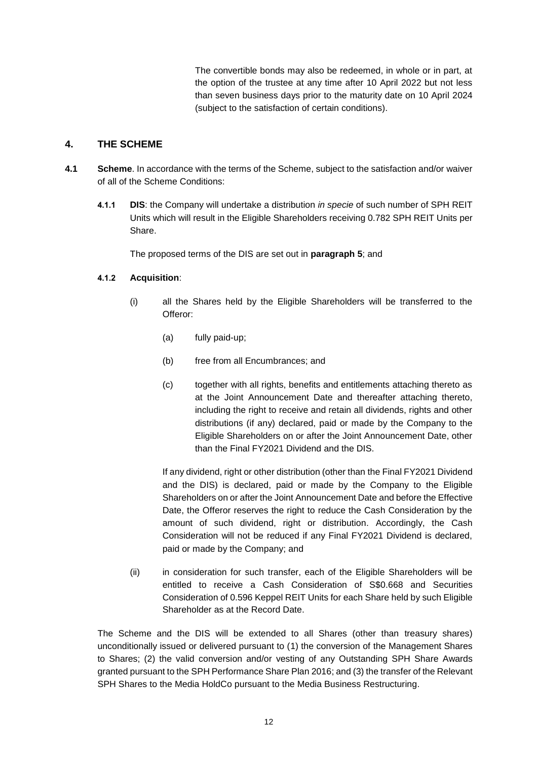The convertible bonds may also be redeemed, in whole or in part, at the option of the trustee at any time after 10 April 2022 but not less than seven business days prior to the maturity date on 10 April 2024 (subject to the satisfaction of certain conditions).

## **4. THE SCHEME**

- **4.1 Scheme**. In accordance with the terms of the Scheme, subject to the satisfaction and/or waiver of all of the Scheme Conditions:
	- **4.1.1 DIS**: the Company will undertake a distribution *in specie* of such number of SPH REIT Units which will result in the Eligible Shareholders receiving 0.782 SPH REIT Units per Share.

The proposed terms of the DIS are set out in **paragraph [5](#page-17-0)**; and

### **4.1.2 Acquisition**:

- (i) all the Shares held by the Eligible Shareholders will be transferred to the Offeror:
	- (a) fully paid-up;
	- (b) free from all Encumbrances; and
	- (c) together with all rights, benefits and entitlements attaching thereto as at the Joint Announcement Date and thereafter attaching thereto, including the right to receive and retain all dividends, rights and other distributions (if any) declared, paid or made by the Company to the Eligible Shareholders on or after the Joint Announcement Date, other than the Final FY2021 Dividend and the DIS.

If any dividend, right or other distribution (other than the Final FY2021 Dividend and the DIS) is declared, paid or made by the Company to the Eligible Shareholders on or after the Joint Announcement Date and before the Effective Date, the Offeror reserves the right to reduce the Cash Consideration by the amount of such dividend, right or distribution. Accordingly, the Cash Consideration will not be reduced if any Final FY2021 Dividend is declared, paid or made by the Company; and

(ii) in consideration for such transfer, each of the Eligible Shareholders will be entitled to receive a Cash Consideration of S\$0.668 and Securities Consideration of 0.596 Keppel REIT Units for each Share held by such Eligible Shareholder as at the Record Date.

The Scheme and the DIS will be extended to all Shares (other than treasury shares) unconditionally issued or delivered pursuant to (1) the conversion of the Management Shares to Shares; (2) the valid conversion and/or vesting of any Outstanding SPH Share Awards granted pursuant to the SPH Performance Share Plan 2016; and (3) the transfer of the Relevant SPH Shares to the Media HoldCo pursuant to the Media Business Restructuring.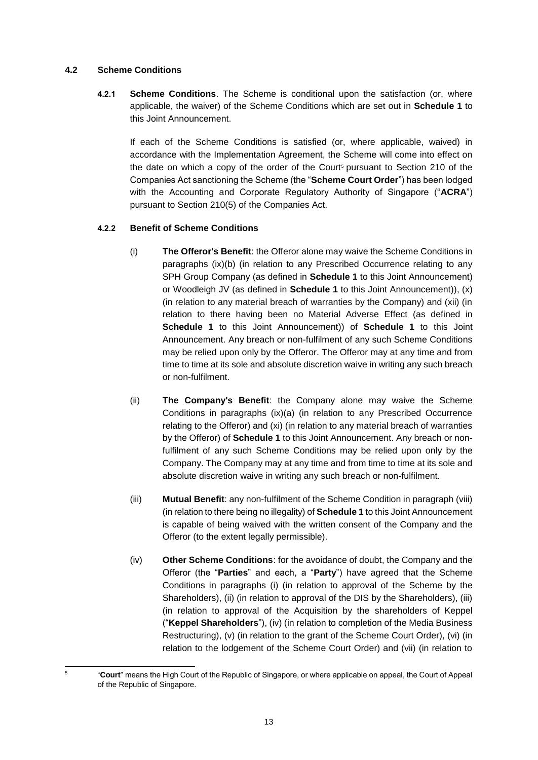### **4.2 Scheme Conditions**

1 5 **4.2.1 Scheme Conditions**. The Scheme is conditional upon the satisfaction (or, where applicable, the waiver) of the Scheme Conditions which are set out in **Schedule 1** to this Joint Announcement.

If each of the Scheme Conditions is satisfied (or, where applicable, waived) in accordance with the Implementation Agreement, the Scheme will come into effect on the date on which a copy of the order of the Court<sup>5</sup> pursuant to Section 210 of the Companies Act sanctioning the Scheme (the "**Scheme Court Order**") has been lodged with the Accounting and Corporate Regulatory Authority of Singapore ("**ACRA**") pursuant to Section 210(5) of the Companies Act.

### **4.2.2 Benefit of Scheme Conditions**

- (i) **The Offeror's Benefit**: the Offeror alone may waive the Scheme Conditions in paragraphs (ix)(b) (in relation to any Prescribed Occurrence relating to any SPH Group Company (as defined in **Schedule 1** to this Joint Announcement) or Woodleigh JV (as defined in **Schedule 1** to this Joint Announcement)), (x) (in relation to any material breach of warranties by the Company) and (xii) (in relation to there having been no Material Adverse Effect (as defined in **Schedule 1** to this Joint Announcement)) of **Schedule 1** to this Joint Announcement. Any breach or non-fulfilment of any such Scheme Conditions may be relied upon only by the Offeror. The Offeror may at any time and from time to time at its sole and absolute discretion waive in writing any such breach or non-fulfilment.
- (ii) **The Company's Benefit**: the Company alone may waive the Scheme Conditions in paragraphs (ix)(a) (in relation to any Prescribed Occurrence relating to the Offeror) and (xi) (in relation to any material breach of warranties by the Offeror) of **Schedule 1** to this Joint Announcement. Any breach or nonfulfilment of any such Scheme Conditions may be relied upon only by the Company. The Company may at any time and from time to time at its sole and absolute discretion waive in writing any such breach or non-fulfilment.
- (iii) **Mutual Benefit**: any non-fulfilment of the Scheme Condition in paragraph (viii) (in relation to there being no illegality) of **Schedule 1** to this Joint Announcement is capable of being waived with the written consent of the Company and the Offeror (to the extent legally permissible).
- (iv) **Other Scheme Conditions**: for the avoidance of doubt, the Company and the Offeror (the "**Parties**" and each, a "**Party**") have agreed that the Scheme Conditions in paragraphs (i) (in relation to approval of the Scheme by the Shareholders), (ii) (in relation to approval of the DIS by the Shareholders), (iii) (in relation to approval of the Acquisition by the shareholders of Keppel ("**Keppel Shareholders**"), (iv) (in relation to completion of the Media Business Restructuring), (v) (in relation to the grant of the Scheme Court Order), (vi) (in relation to the lodgement of the Scheme Court Order) and (vii) (in relation to

<sup>&</sup>quot;**Court**" means the High Court of the Republic of Singapore, or where applicable on appeal, the Court of Appeal of the Republic of Singapore.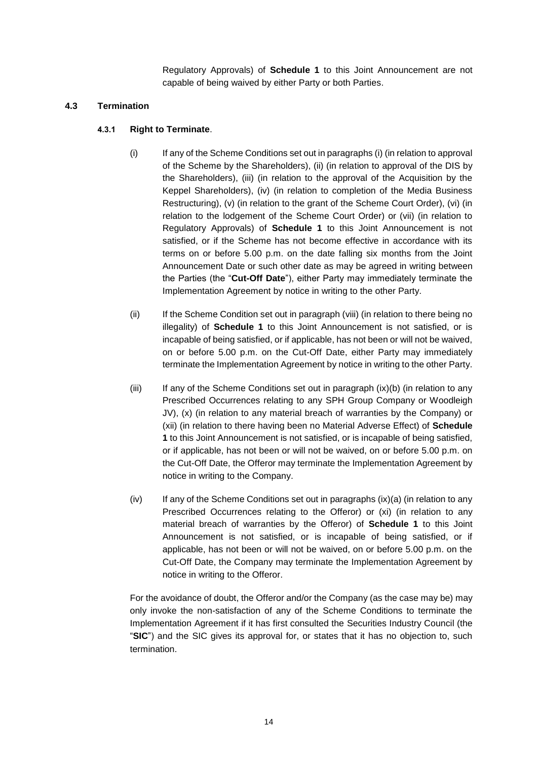Regulatory Approvals) of **Schedule 1** to this Joint Announcement are not capable of being waived by either Party or both Parties.

### **4.3 Termination**

### **4.3.1 Right to Terminate**.

- (i) If any of the Scheme Conditions set out in paragraphs (i) (in relation to approval of the Scheme by the Shareholders), (ii) (in relation to approval of the DIS by the Shareholders), (iii) (in relation to the approval of the Acquisition by the Keppel Shareholders), (iv) (in relation to completion of the Media Business Restructuring), (v) (in relation to the grant of the Scheme Court Order), (vi) (in relation to the lodgement of the Scheme Court Order) or (vii) (in relation to Regulatory Approvals) of **Schedule 1** to this Joint Announcement is not satisfied, or if the Scheme has not become effective in accordance with its terms on or before 5.00 p.m. on the date falling six months from the Joint Announcement Date or such other date as may be agreed in writing between the Parties (the "**Cut-Off Date**"), either Party may immediately terminate the Implementation Agreement by notice in writing to the other Party.
- (ii) If the Scheme Condition set out in paragraph (viii) (in relation to there being no illegality) of **Schedule 1** to this Joint Announcement is not satisfied, or is incapable of being satisfied, or if applicable, has not been or will not be waived, on or before 5.00 p.m. on the Cut-Off Date, either Party may immediately terminate the Implementation Agreement by notice in writing to the other Party.
- $(iii)$  If any of the Scheme Conditions set out in paragraph  $(ix)(b)$  (in relation to any Prescribed Occurrences relating to any SPH Group Company or Woodleigh JV), (x) (in relation to any material breach of warranties by the Company) or (xii) (in relation to there having been no Material Adverse Effect) of **Schedule 1** to this Joint Announcement is not satisfied, or is incapable of being satisfied, or if applicable, has not been or will not be waived, on or before 5.00 p.m. on the Cut-Off Date, the Offeror may terminate the Implementation Agreement by notice in writing to the Company.
- $(iv)$  If any of the Scheme Conditions set out in paragraphs  $(ix)(a)$  (in relation to any Prescribed Occurrences relating to the Offeror) or (xi) (in relation to any material breach of warranties by the Offeror) of **Schedule 1** to this Joint Announcement is not satisfied, or is incapable of being satisfied, or if applicable, has not been or will not be waived, on or before 5.00 p.m. on the Cut-Off Date, the Company may terminate the Implementation Agreement by notice in writing to the Offeror.

For the avoidance of doubt, the Offeror and/or the Company (as the case may be) may only invoke the non-satisfaction of any of the Scheme Conditions to terminate the Implementation Agreement if it has first consulted the Securities Industry Council (the "**SIC**") and the SIC gives its approval for, or states that it has no objection to, such termination.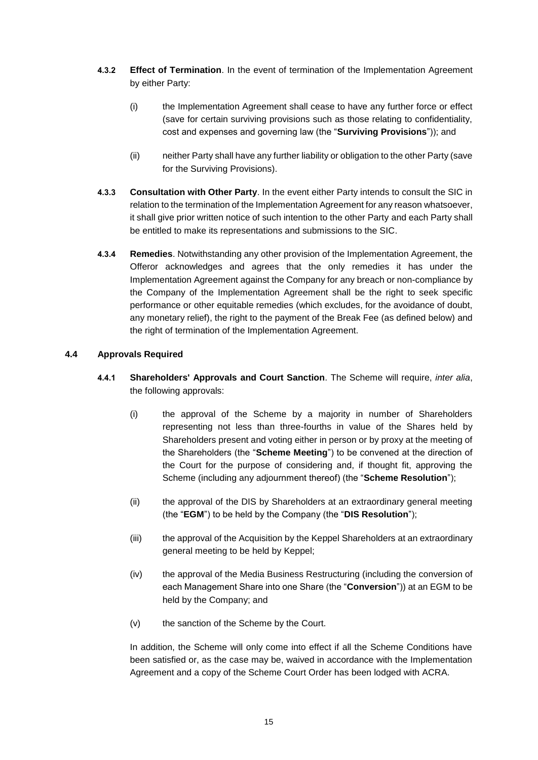- **4.3.2 Effect of Termination**. In the event of termination of the Implementation Agreement by either Party:
	- (i) the Implementation Agreement shall cease to have any further force or effect (save for certain surviving provisions such as those relating to confidentiality, cost and expenses and governing law (the "**Surviving Provisions**")); and
	- (ii) neither Party shall have any further liability or obligation to the other Party (save for the Surviving Provisions).
- **4.3.3 Consultation with Other Party**. In the event either Party intends to consult the SIC in relation to the termination of the Implementation Agreement for any reason whatsoever, it shall give prior written notice of such intention to the other Party and each Party shall be entitled to make its representations and submissions to the SIC.
- **4.3.4 Remedies**. Notwithstanding any other provision of the Implementation Agreement, the Offeror acknowledges and agrees that the only remedies it has under the Implementation Agreement against the Company for any breach or non-compliance by the Company of the Implementation Agreement shall be the right to seek specific performance or other equitable remedies (which excludes, for the avoidance of doubt, any monetary relief), the right to the payment of the Break Fee (as defined below) and the right of termination of the Implementation Agreement.

### **4.4 Approvals Required**

- **4.4.1 Shareholders' Approvals and Court Sanction**. The Scheme will require, *inter alia*, the following approvals:
	- (i) the approval of the Scheme by a majority in number of Shareholders representing not less than three-fourths in value of the Shares held by Shareholders present and voting either in person or by proxy at the meeting of the Shareholders (the "**Scheme Meeting**") to be convened at the direction of the Court for the purpose of considering and, if thought fit, approving the Scheme (including any adjournment thereof) (the "**Scheme Resolution**");
	- (ii) the approval of the DIS by Shareholders at an extraordinary general meeting (the "**EGM**") to be held by the Company (the "**DIS Resolution**");
	- (iii) the approval of the Acquisition by the Keppel Shareholders at an extraordinary general meeting to be held by Keppel;
	- (iv) the approval of the Media Business Restructuring (including the conversion of each Management Share into one Share (the "**Conversion**")) at an EGM to be held by the Company; and
	- (v) the sanction of the Scheme by the Court.

In addition, the Scheme will only come into effect if all the Scheme Conditions have been satisfied or, as the case may be, waived in accordance with the Implementation Agreement and a copy of the Scheme Court Order has been lodged with ACRA.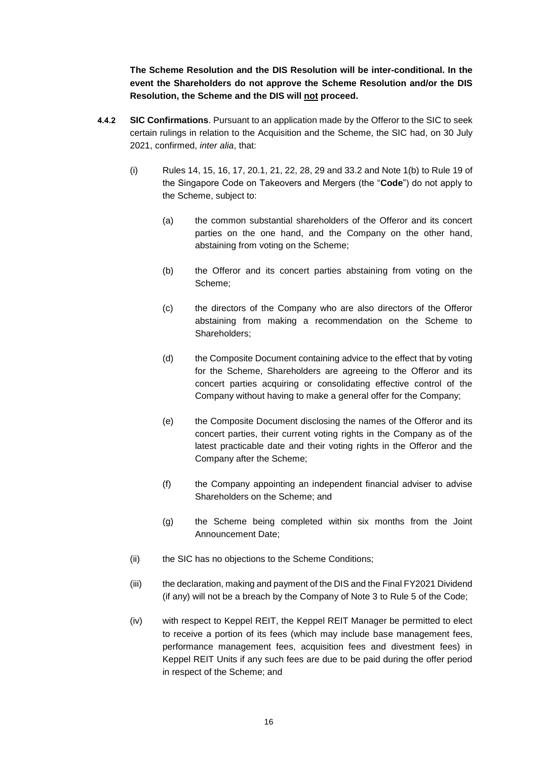**The Scheme Resolution and the DIS Resolution will be inter-conditional. In the event the Shareholders do not approve the Scheme Resolution and/or the DIS Resolution, the Scheme and the DIS will not proceed.**

- **4.4.2 SIC Confirmations**. Pursuant to an application made by the Offeror to the SIC to seek certain rulings in relation to the Acquisition and the Scheme, the SIC had, on 30 July 2021, confirmed, *inter alia*, that:
	- (i) Rules 14, 15, 16, 17, 20.1, 21, 22, 28, 29 and 33.2 and Note 1(b) to Rule 19 of the Singapore Code on Takeovers and Mergers (the "**Code**") do not apply to the Scheme, subject to:
		- (a) the common substantial shareholders of the Offeror and its concert parties on the one hand, and the Company on the other hand, abstaining from voting on the Scheme;
		- (b) the Offeror and its concert parties abstaining from voting on the Scheme;
		- (c) the directors of the Company who are also directors of the Offeror abstaining from making a recommendation on the Scheme to Shareholders;
		- (d) the Composite Document containing advice to the effect that by voting for the Scheme, Shareholders are agreeing to the Offeror and its concert parties acquiring or consolidating effective control of the Company without having to make a general offer for the Company;
		- (e) the Composite Document disclosing the names of the Offeror and its concert parties, their current voting rights in the Company as of the latest practicable date and their voting rights in the Offeror and the Company after the Scheme;
		- (f) the Company appointing an independent financial adviser to advise Shareholders on the Scheme; and
		- (g) the Scheme being completed within six months from the Joint Announcement Date;
	- (ii) the SIC has no objections to the Scheme Conditions;
	- (iii) the declaration, making and payment of the DIS and the Final FY2021 Dividend (if any) will not be a breach by the Company of Note 3 to Rule 5 of the Code;
	- (iv) with respect to Keppel REIT, the Keppel REIT Manager be permitted to elect to receive a portion of its fees (which may include base management fees, performance management fees, acquisition fees and divestment fees) in Keppel REIT Units if any such fees are due to be paid during the offer period in respect of the Scheme; and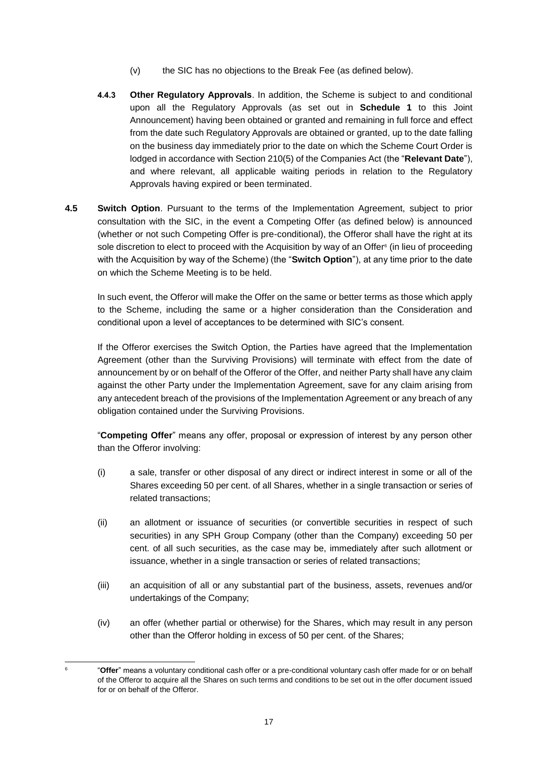- (v) the SIC has no objections to the Break Fee (as defined below).
- **4.4.3 Other Regulatory Approvals**. In addition, the Scheme is subject to and conditional upon all the Regulatory Approvals (as set out in **Schedule 1** to this Joint Announcement) having been obtained or granted and remaining in full force and effect from the date such Regulatory Approvals are obtained or granted, up to the date falling on the business day immediately prior to the date on which the Scheme Court Order is lodged in accordance with Section 210(5) of the Companies Act (the "**Relevant Date**"), and where relevant, all applicable waiting periods in relation to the Regulatory Approvals having expired or been terminated.
- **4.5 Switch Option**. Pursuant to the terms of the Implementation Agreement, subject to prior consultation with the SIC, in the event a Competing Offer (as defined below) is announced (whether or not such Competing Offer is pre-conditional), the Offeror shall have the right at its sole discretion to elect to proceed with the Acquisition by way of an Offer<sup>6</sup> (in lieu of proceeding with the Acquisition by way of the Scheme) (the "**Switch Option**"), at any time prior to the date on which the Scheme Meeting is to be held.

In such event, the Offeror will make the Offer on the same or better terms as those which apply to the Scheme, including the same or a higher consideration than the Consideration and conditional upon a level of acceptances to be determined with SIC's consent.

If the Offeror exercises the Switch Option, the Parties have agreed that the Implementation Agreement (other than the Surviving Provisions) will terminate with effect from the date of announcement by or on behalf of the Offeror of the Offer, and neither Party shall have any claim against the other Party under the Implementation Agreement, save for any claim arising from any antecedent breach of the provisions of the Implementation Agreement or any breach of any obligation contained under the Surviving Provisions.

"**Competing Offer**" means any offer, proposal or expression of interest by any person other than the Offeror involving:

- (i) a sale, transfer or other disposal of any direct or indirect interest in some or all of the Shares exceeding 50 per cent. of all Shares, whether in a single transaction or series of related transactions;
- (ii) an allotment or issuance of securities (or convertible securities in respect of such securities) in any SPH Group Company (other than the Company) exceeding 50 per cent. of all such securities, as the case may be, immediately after such allotment or issuance, whether in a single transaction or series of related transactions;
- (iii) an acquisition of all or any substantial part of the business, assets, revenues and/or undertakings of the Company;
- (iv) an offer (whether partial or otherwise) for the Shares, which may result in any person other than the Offeror holding in excess of 50 per cent. of the Shares;

1 6

<sup>&</sup>quot;**Offer**" means a voluntary conditional cash offer or a pre-conditional voluntary cash offer made for or on behalf of the Offeror to acquire all the Shares on such terms and conditions to be set out in the offer document issued for or on behalf of the Offeror.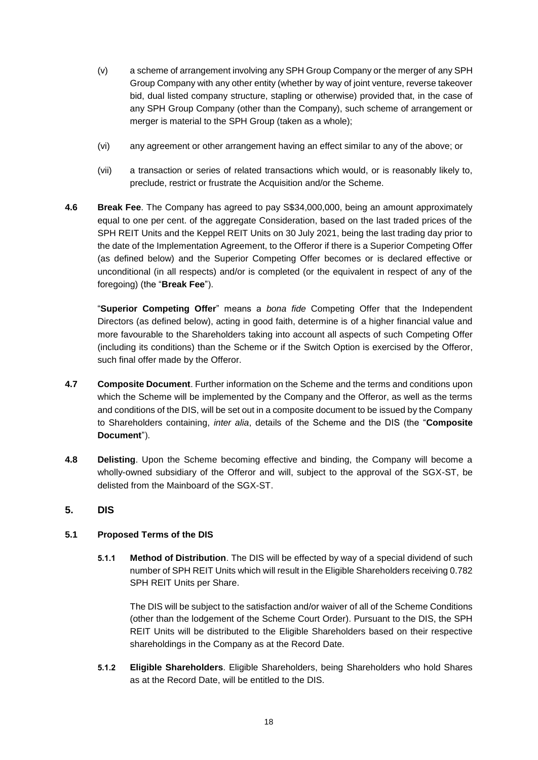- (v) a scheme of arrangement involving any SPH Group Company or the merger of any SPH Group Company with any other entity (whether by way of joint venture, reverse takeover bid, dual listed company structure, stapling or otherwise) provided that, in the case of any SPH Group Company (other than the Company), such scheme of arrangement or merger is material to the SPH Group (taken as a whole);
- (vi) any agreement or other arrangement having an effect similar to any of the above; or
- (vii) a transaction or series of related transactions which would, or is reasonably likely to, preclude, restrict or frustrate the Acquisition and/or the Scheme.
- **4.6 Break Fee**. The Company has agreed to pay S\$34,000,000, being an amount approximately equal to one per cent. of the aggregate Consideration, based on the last traded prices of the SPH REIT Units and the Keppel REIT Units on 30 July 2021, being the last trading day prior to the date of the Implementation Agreement, to the Offeror if there is a Superior Competing Offer (as defined below) and the Superior Competing Offer becomes or is declared effective or unconditional (in all respects) and/or is completed (or the equivalent in respect of any of the foregoing) (the "**Break Fee**").

"**Superior Competing Offer**" means a *bona fide* Competing Offer that the Independent Directors (as defined below), acting in good faith, determine is of a higher financial value and more favourable to the Shareholders taking into account all aspects of such Competing Offer (including its conditions) than the Scheme or if the Switch Option is exercised by the Offeror, such final offer made by the Offeror.

- **4.7 Composite Document**. Further information on the Scheme and the terms and conditions upon which the Scheme will be implemented by the Company and the Offeror, as well as the terms and conditions of the DIS, will be set out in a composite document to be issued by the Company to Shareholders containing, *inter alia*, details of the Scheme and the DIS (the "**Composite Document**").
- **4.8 Delisting**. Upon the Scheme becoming effective and binding, the Company will become a wholly-owned subsidiary of the Offeror and will, subject to the approval of the SGX-ST, be delisted from the Mainboard of the SGX-ST.
- <span id="page-17-0"></span>**5. DIS**

### **5.1 Proposed Terms of the DIS**

**5.1.1 Method of Distribution**. The DIS will be effected by way of a special dividend of such number of SPH REIT Units which will result in the Eligible Shareholders receiving 0.782 SPH REIT Units per Share.

The DIS will be subject to the satisfaction and/or waiver of all of the Scheme Conditions (other than the lodgement of the Scheme Court Order). Pursuant to the DIS, the SPH REIT Units will be distributed to the Eligible Shareholders based on their respective shareholdings in the Company as at the Record Date.

**5.1.2 Eligible Shareholders**. Eligible Shareholders, being Shareholders who hold Shares as at the Record Date, will be entitled to the DIS.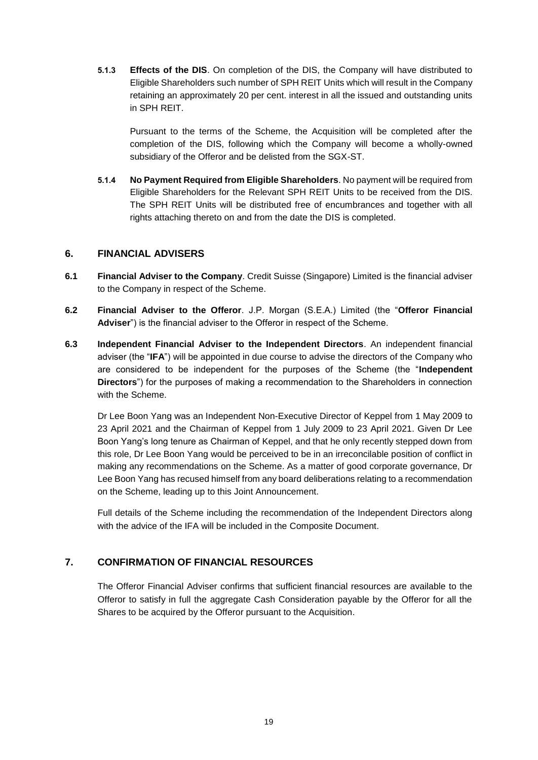**5.1.3 Effects of the DIS**. On completion of the DIS, the Company will have distributed to Eligible Shareholders such number of SPH REIT Units which will result in the Company retaining an approximately 20 per cent. interest in all the issued and outstanding units in SPH REIT.

Pursuant to the terms of the Scheme, the Acquisition will be completed after the completion of the DIS, following which the Company will become a wholly-owned subsidiary of the Offeror and be delisted from the SGX-ST.

**5.1.4 No Payment Required from Eligible Shareholders**. No payment will be required from Eligible Shareholders for the Relevant SPH REIT Units to be received from the DIS. The SPH REIT Units will be distributed free of encumbrances and together with all rights attaching thereto on and from the date the DIS is completed.

## **6. FINANCIAL ADVISERS**

- **6.1 Financial Adviser to the Company**. Credit Suisse (Singapore) Limited is the financial adviser to the Company in respect of the Scheme.
- **6.2 Financial Adviser to the Offeror**. J.P. Morgan (S.E.A.) Limited (the "**Offeror Financial Adviser**") is the financial adviser to the Offeror in respect of the Scheme.
- **6.3 Independent Financial Adviser to the Independent Directors**. An independent financial adviser (the "**IFA**") will be appointed in due course to advise the directors of the Company who are considered to be independent for the purposes of the Scheme (the "**Independent Directors**") for the purposes of making a recommendation to the Shareholders in connection with the Scheme.

Dr Lee Boon Yang was an Independent Non-Executive Director of Keppel from 1 May 2009 to 23 April 2021 and the Chairman of Keppel from 1 July 2009 to 23 April 2021. Given Dr Lee Boon Yang's long tenure as Chairman of Keppel, and that he only recently stepped down from this role, Dr Lee Boon Yang would be perceived to be in an irreconcilable position of conflict in making any recommendations on the Scheme. As a matter of good corporate governance, Dr Lee Boon Yang has recused himself from any board deliberations relating to a recommendation on the Scheme, leading up to this Joint Announcement.

Full details of the Scheme including the recommendation of the Independent Directors along with the advice of the IFA will be included in the Composite Document.

# **7. CONFIRMATION OF FINANCIAL RESOURCES**

The Offeror Financial Adviser confirms that sufficient financial resources are available to the Offeror to satisfy in full the aggregate Cash Consideration payable by the Offeror for all the Shares to be acquired by the Offeror pursuant to the Acquisition.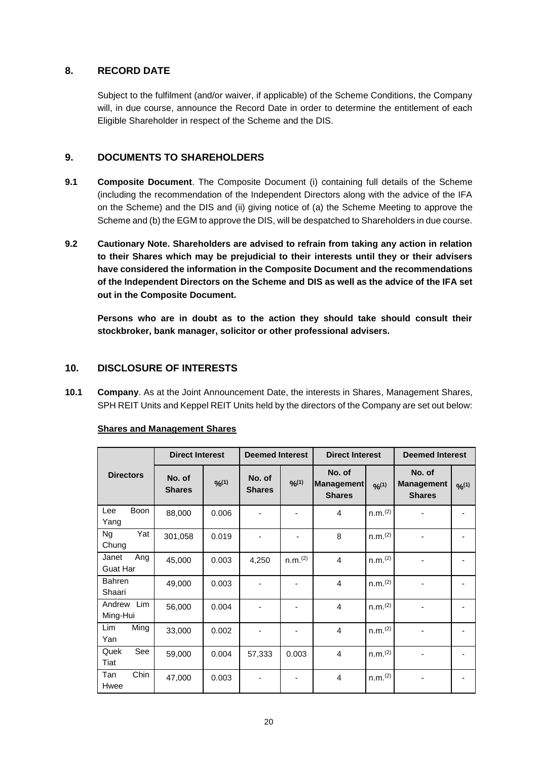## **8. RECORD DATE**

Subject to the fulfilment (and/or waiver, if applicable) of the Scheme Conditions, the Company will, in due course, announce the Record Date in order to determine the entitlement of each Eligible Shareholder in respect of the Scheme and the DIS.

## **9. DOCUMENTS TO SHAREHOLDERS**

- **9.1 Composite Document**. The Composite Document (i) containing full details of the Scheme (including the recommendation of the Independent Directors along with the advice of the IFA on the Scheme) and the DIS and (ii) giving notice of (a) the Scheme Meeting to approve the Scheme and (b) the EGM to approve the DIS, will be despatched to Shareholders in due course.
- **9.2 Cautionary Note. Shareholders are advised to refrain from taking any action in relation to their Shares which may be prejudicial to their interests until they or their advisers have considered the information in the Composite Document and the recommendations of the Independent Directors on the Scheme and DIS as well as the advice of the IFA set out in the Composite Document.**

**Persons who are in doubt as to the action they should take should consult their stockbroker, bank manager, solicitor or other professional advisers.**

## **10. DISCLOSURE OF INTERESTS**

<span id="page-19-0"></span>**10.1 Company**. As at the Joint Announcement Date, the interests in Shares, Management Shares, SPH REIT Units and Keppel REIT Units held by the directors of the Company are set out below:

|                                 |                         | <b>Direct Interest</b> |                         | <b>Deemed Interest</b> |                                              | <b>Direct Interest</b> |                                              |        | <b>Deemed Interest</b> |  |
|---------------------------------|-------------------------|------------------------|-------------------------|------------------------|----------------------------------------------|------------------------|----------------------------------------------|--------|------------------------|--|
| <b>Directors</b>                | No. of<br><b>Shares</b> | 9/6(1)                 | No. of<br><b>Shares</b> | 9/6(1)                 | No. of<br><b>Management</b><br><b>Shares</b> | 9/6(1)                 | No. of<br><b>Management</b><br><b>Shares</b> | 9/6(1) |                        |  |
| Boon<br>Lee<br>Yang             | 88,000                  | 0.006                  |                         |                        | 4                                            | n.m. <sup>(2)</sup>    |                                              |        |                        |  |
| Yat<br>Ng<br>Chung              | 301,058                 | 0.019                  |                         |                        | 8                                            | n.m. <sup>(2)</sup>    |                                              |        |                        |  |
| Ang<br>Janet<br><b>Guat Har</b> | 45,000                  | 0.003                  | 4,250                   | n.m. <sup>(2)</sup>    | $\overline{4}$                               | n.m. <sup>(2)</sup>    |                                              |        |                        |  |
| <b>Bahren</b><br>Shaari         | 49,000                  | 0.003                  |                         |                        | $\overline{4}$                               | n.m. <sup>(2)</sup>    |                                              |        |                        |  |
| Andrew Lim<br>Ming-Hui          | 56,000                  | 0.004                  |                         |                        | $\overline{4}$                               | n.m. <sup>(2)</sup>    |                                              |        |                        |  |
| Ming<br><b>Lim</b><br>Yan       | 33,000                  | 0.002                  |                         |                        | $\overline{4}$                               | n.m. <sup>(2)</sup>    |                                              |        |                        |  |
| See<br>Quek<br>Tiat             | 59,000                  | 0.004                  | 57,333                  | 0.003                  | 4                                            | n.m. <sup>(2)</sup>    |                                              |        |                        |  |
| Chin<br>Tan<br>Hwee             | 47,000                  | 0.003                  |                         |                        | $\overline{4}$                               | n.m. <sup>(2)</sup>    |                                              |        |                        |  |

### **Shares and Management Shares**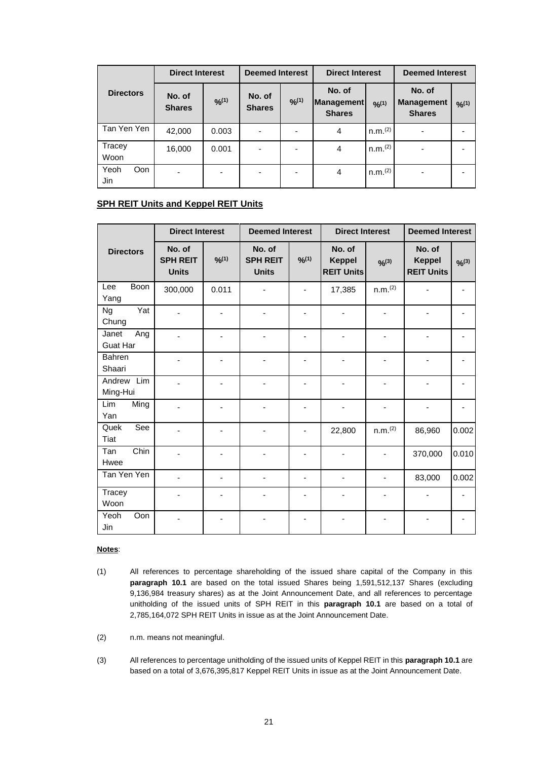|                    | <b>Direct Interest</b>  |        | <b>Deemed Interest</b>  |      | <b>Direct Interest</b>                |                     | <b>Deemed Interest</b>                       |        |
|--------------------|-------------------------|--------|-------------------------|------|---------------------------------------|---------------------|----------------------------------------------|--------|
| <b>Directors</b>   | No. of<br><b>Shares</b> | 9/2(1) | No. of<br><b>Shares</b> | 9/1) | No. of<br>Management<br><b>Shares</b> | 9/1)                | No. of<br><b>Management</b><br><b>Shares</b> | 9/2(1) |
| Tan Yen Yen        | 42,000                  | 0.003  | ٠                       |      | 4                                     | n.m. <sup>(2)</sup> | ٠                                            |        |
| Tracey<br>Woon     | 16,000                  | 0.001  | ٠                       |      | 4                                     | n.m. <sup>(2)</sup> | ٠                                            |        |
| Yeoh<br>Oon<br>Jin | -                       |        | ٠                       |      | 4                                     | n.m. <sup>(2)</sup> | ٠                                            |        |

## **SPH REIT Units and Keppel REIT Units**

|                                 | <b>Direct Interest</b>                    |        |                                           | <b>Deemed Interest</b> |                                              | <b>Direct Interest</b> | <b>Deemed Interest</b>                       |             |
|---------------------------------|-------------------------------------------|--------|-------------------------------------------|------------------------|----------------------------------------------|------------------------|----------------------------------------------|-------------|
| <b>Directors</b>                | No. of<br><b>SPH REIT</b><br><b>Units</b> | 9/6(1) | No. of<br><b>SPH REIT</b><br><b>Units</b> | 9/10                   | No. of<br><b>Keppel</b><br><b>REIT Units</b> | $9/6^{(3)}$            | No. of<br><b>Keppel</b><br><b>REIT Units</b> | $9/6^{(3)}$ |
| <b>Boon</b><br>Lee<br>Yang      | 300,000                                   | 0.011  |                                           |                        | 17,385                                       | n.m. <sup>(2)</sup>    |                                              |             |
| Yat<br><b>Ng</b><br>Chung       |                                           |        |                                           |                        |                                              |                        |                                              |             |
| Janet<br>Ang<br><b>Guat Har</b> |                                           |        |                                           |                        | ٠                                            |                        |                                              |             |
| <b>Bahren</b><br>Shaari         |                                           | ٠      |                                           |                        | ٠                                            |                        |                                              |             |
| Andrew Lim<br>Ming-Hui          |                                           | -      |                                           | ٠                      | ٠                                            | ٠                      |                                              |             |
| Lim<br>Ming<br>Yan              |                                           |        |                                           |                        |                                              |                        |                                              |             |
| See<br>Quek<br>Tiat             |                                           |        |                                           |                        | 22,800                                       | n.m. <sup>(2)</sup>    | 86,960                                       | 0.002       |
| Chin<br>Tan<br>Hwee             |                                           |        |                                           |                        | -                                            |                        | 370,000                                      | 0.010       |
| Tan Yen Yen                     |                                           |        |                                           |                        | ä,                                           |                        | 83,000                                       | 0.002       |
| Tracey<br>Woon                  |                                           |        |                                           |                        |                                              |                        |                                              |             |
| Oon<br>Yeoh<br>Jin              |                                           |        |                                           |                        |                                              |                        |                                              |             |

#### **Notes**:

(1) All references to percentage shareholding of the issued share capital of the Company in this **paragraph [10.1](#page-19-0)** are based on the total issued Shares being 1,591,512,137 Shares (excluding 9,136,984 treasury shares) as at the Joint Announcement Date, and all references to percentage unitholding of the issued units of SPH REIT in this **paragraph [10.1](#page-19-0)** are based on a total of 2,785,164,072 SPH REIT Units in issue as at the Joint Announcement Date.

(2) n.m. means not meaningful.

(3) All references to percentage unitholding of the issued units of Keppel REIT in this **paragrap[h 10.1](#page-19-0)** are based on a total of 3,676,395,817 Keppel REIT Units in issue as at the Joint Announcement Date.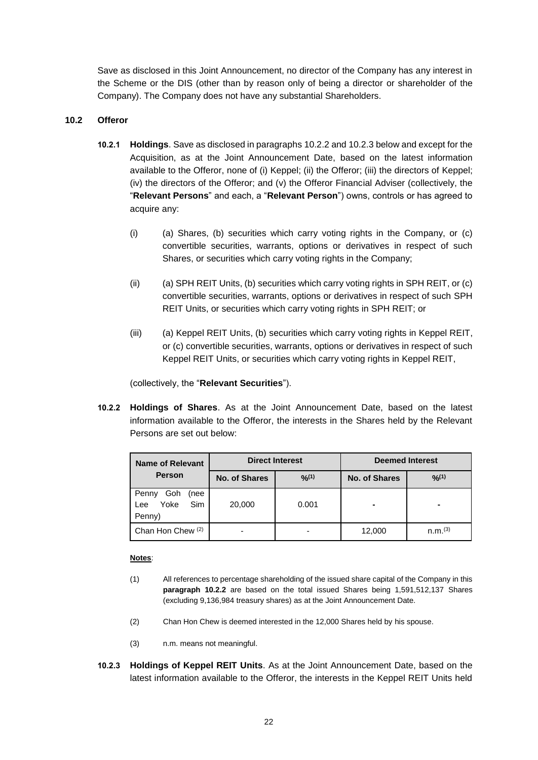Save as disclosed in this Joint Announcement, no director of the Company has any interest in the Scheme or the DIS (other than by reason only of being a director or shareholder of the Company). The Company does not have any substantial Shareholders.

### **10.2 Offeror**

- **10.2.1 Holdings**. Save as disclosed in paragraphs 10.2.2 and 10.2.3 below and except for the Acquisition, as at the Joint Announcement Date, based on the latest information available to the Offeror, none of (i) Keppel; (ii) the Offeror; (iii) the directors of Keppel; (iv) the directors of the Offeror; and (v) the Offeror Financial Adviser (collectively, the "**Relevant Persons**" and each, a "**Relevant Person**") owns, controls or has agreed to acquire any:
	- $(i)$  (a) Shares, (b) securities which carry voting rights in the Company, or (c) convertible securities, warrants, options or derivatives in respect of such Shares, or securities which carry voting rights in the Company;
	- $(ii)$  (a) SPH REIT Units, (b) securities which carry voting rights in SPH REIT, or (c) convertible securities, warrants, options or derivatives in respect of such SPH REIT Units, or securities which carry voting rights in SPH REIT; or
	- (iii) (a) Keppel REIT Units, (b) securities which carry voting rights in Keppel REIT, or (c) convertible securities, warrants, options or derivatives in respect of such Keppel REIT Units, or securities which carry voting rights in Keppel REIT,

(collectively, the "**Relevant Securities**").

<span id="page-21-0"></span>**10.2.2 Holdings of Shares**. As at the Joint Announcement Date, based on the latest information available to the Offeror, the interests in the Shares held by the Relevant Persons are set out below:

| <b>Name of Relevant</b>                                     | <b>Direct Interest</b> |        | <b>Deemed Interest</b> |                     |  |
|-------------------------------------------------------------|------------------------|--------|------------------------|---------------------|--|
| <b>Person</b>                                               | No. of Shares          | 9/2(1) | <b>No. of Shares</b>   | 9/2(1)              |  |
| Goh<br>Penny<br>(nee<br><b>Sim</b><br>Yoke<br>Lee<br>Penny) | 20,000                 | 0.001  | $\blacksquare$         | -                   |  |
| Chan Hon Chew <sup>(2)</sup>                                |                        |        | 12,000                 | n.m. <sup>(3)</sup> |  |

### **Notes**:

- (1) All references to percentage shareholding of the issued share capital of the Company in this **paragraph [10.2.2](#page-21-0)** are based on the total issued Shares being 1,591,512,137 Shares (excluding 9,136,984 treasury shares) as at the Joint Announcement Date.
- (2) Chan Hon Chew is deemed interested in the 12,000 Shares held by his spouse.
- (3) n.m. means not meaningful.
- <span id="page-21-1"></span>**10.2.3 Holdings of Keppel REIT Units**. As at the Joint Announcement Date, based on the latest information available to the Offeror, the interests in the Keppel REIT Units held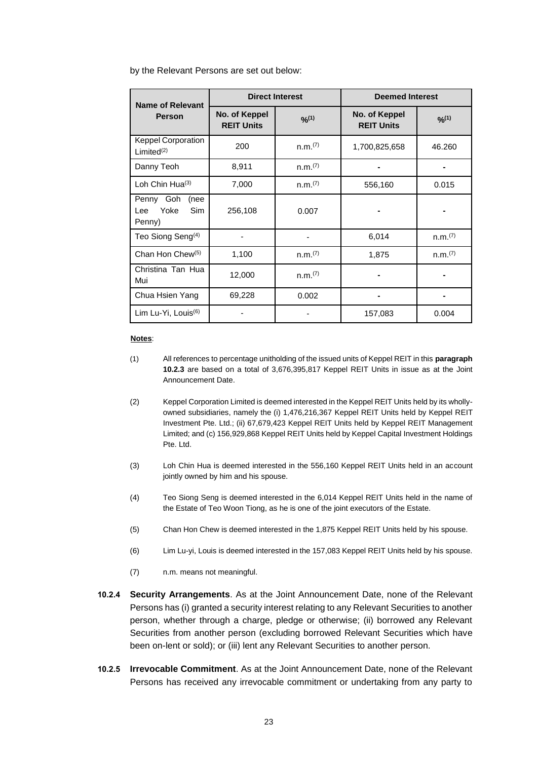by the Relevant Persons are set out below:

| <b>Name of Relevant</b>                                  |                                    | <b>Direct Interest</b> | <b>Deemed Interest</b>             |                     |
|----------------------------------------------------------|------------------------------------|------------------------|------------------------------------|---------------------|
| <b>Person</b>                                            | No. of Keppel<br><b>REIT Units</b> | 9/2(1)                 | No. of Keppel<br><b>REIT Units</b> | 9/10                |
| <b>Keppel Corporation</b><br>Limited $(2)$               | 200                                | n.m.(7)                | 1,700,825,658                      | 46.260              |
| Danny Teoh                                               | 8,911                              | n.m.(7)                |                                    |                     |
| Loh Chin Hua(3)                                          | 7,000                              | n.m.(7)                | 556,160                            | 0.015               |
| Penny Goh<br>(nee<br>Yoke<br><b>Sim</b><br>Lee<br>Penny) | 256,108                            | 0.007                  |                                    |                     |
| Teo Siong Seng <sup>(4)</sup>                            |                                    |                        | 6,014                              | n.m. <sup>(7)</sup> |
| Chan Hon Chew <sup>(5)</sup>                             | 1,100                              | n.m. <sup>(7)</sup>    | 1,875                              | n.m. <sup>(7)</sup> |
| Christina Tan Hua<br>Mui                                 | 12,000                             | n.m. <sup>(7)</sup>    |                                    |                     |
| Chua Hsien Yang                                          | 69,228                             | 0.002                  |                                    |                     |
| Lim Lu-Yi, Louis <sup>(6)</sup>                          |                                    |                        | 157,083                            | 0.004               |

#### **Notes**:

- (1) All references to percentage unitholding of the issued units of Keppel REIT in this **paragraph [10.2.3](#page-21-1)** are based on a total of 3,676,395,817 Keppel REIT Units in issue as at the Joint Announcement Date.
- (2) Keppel Corporation Limited is deemed interested in the Keppel REIT Units held by its whollyowned subsidiaries, namely the (i) 1,476,216,367 Keppel REIT Units held by Keppel REIT Investment Pte. Ltd.; (ii) 67,679,423 Keppel REIT Units held by Keppel REIT Management Limited; and (c) 156,929,868 Keppel REIT Units held by Keppel Capital Investment Holdings Pte. Ltd.
- (3) Loh Chin Hua is deemed interested in the 556,160 Keppel REIT Units held in an account jointly owned by him and his spouse.
- (4) Teo Siong Seng is deemed interested in the 6,014 Keppel REIT Units held in the name of the Estate of Teo Woon Tiong, as he is one of the joint executors of the Estate.
- (5) Chan Hon Chew is deemed interested in the 1,875 Keppel REIT Units held by his spouse.
- (6) Lim Lu-yi, Louis is deemed interested in the 157,083 Keppel REIT Units held by his spouse.
- (7) n.m. means not meaningful.
- **10.2.4 Security Arrangements**. As at the Joint Announcement Date, none of the Relevant Persons has (i) granted a security interest relating to any Relevant Securities to another person, whether through a charge, pledge or otherwise; (ii) borrowed any Relevant Securities from another person (excluding borrowed Relevant Securities which have been on-lent or sold); or (iii) lent any Relevant Securities to another person.
- **10.2.5 Irrevocable Commitment**. As at the Joint Announcement Date, none of the Relevant Persons has received any irrevocable commitment or undertaking from any party to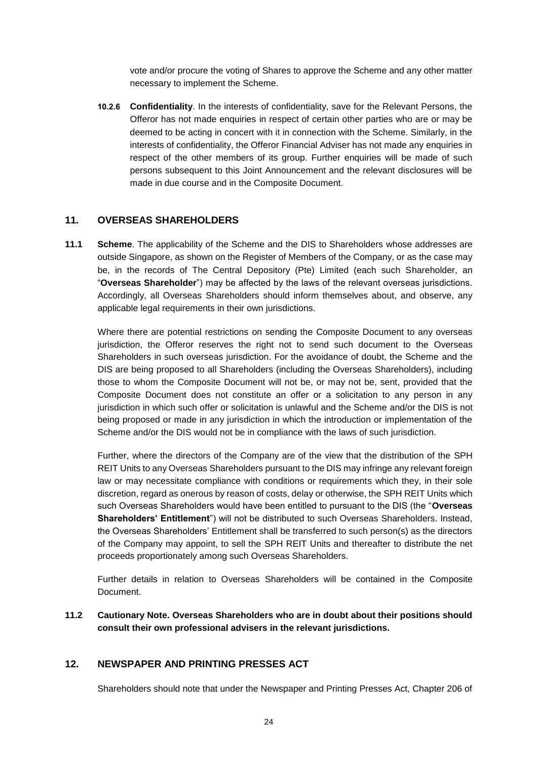vote and/or procure the voting of Shares to approve the Scheme and any other matter necessary to implement the Scheme.

**10.2.6 Confidentiality**. In the interests of confidentiality, save for the Relevant Persons, the Offeror has not made enquiries in respect of certain other parties who are or may be deemed to be acting in concert with it in connection with the Scheme. Similarly, in the interests of confidentiality, the Offeror Financial Adviser has not made any enquiries in respect of the other members of its group. Further enquiries will be made of such persons subsequent to this Joint Announcement and the relevant disclosures will be made in due course and in the Composite Document.

## **11. OVERSEAS SHAREHOLDERS**

**11.1 Scheme**. The applicability of the Scheme and the DIS to Shareholders whose addresses are outside Singapore, as shown on the Register of Members of the Company, or as the case may be, in the records of The Central Depository (Pte) Limited (each such Shareholder, an "**Overseas Shareholder**") may be affected by the laws of the relevant overseas jurisdictions. Accordingly, all Overseas Shareholders should inform themselves about, and observe, any applicable legal requirements in their own jurisdictions.

Where there are potential restrictions on sending the Composite Document to any overseas jurisdiction, the Offeror reserves the right not to send such document to the Overseas Shareholders in such overseas jurisdiction. For the avoidance of doubt, the Scheme and the DIS are being proposed to all Shareholders (including the Overseas Shareholders), including those to whom the Composite Document will not be, or may not be, sent, provided that the Composite Document does not constitute an offer or a solicitation to any person in any jurisdiction in which such offer or solicitation is unlawful and the Scheme and/or the DIS is not being proposed or made in any jurisdiction in which the introduction or implementation of the Scheme and/or the DIS would not be in compliance with the laws of such jurisdiction.

Further, where the directors of the Company are of the view that the distribution of the SPH REIT Units to any Overseas Shareholders pursuant to the DIS may infringe any relevant foreign law or may necessitate compliance with conditions or requirements which they, in their sole discretion, regard as onerous by reason of costs, delay or otherwise, the SPH REIT Units which such Overseas Shareholders would have been entitled to pursuant to the DIS (the "**Overseas Shareholders' Entitlement**") will not be distributed to such Overseas Shareholders. Instead, the Overseas Shareholders' Entitlement shall be transferred to such person(s) as the directors of the Company may appoint, to sell the SPH REIT Units and thereafter to distribute the net proceeds proportionately among such Overseas Shareholders.

Further details in relation to Overseas Shareholders will be contained in the Composite Document.

**11.2 Cautionary Note. Overseas Shareholders who are in doubt about their positions should consult their own professional advisers in the relevant jurisdictions.** 

### **12. NEWSPAPER AND PRINTING PRESSES ACT**

Shareholders should note that under the Newspaper and Printing Presses Act, Chapter 206 of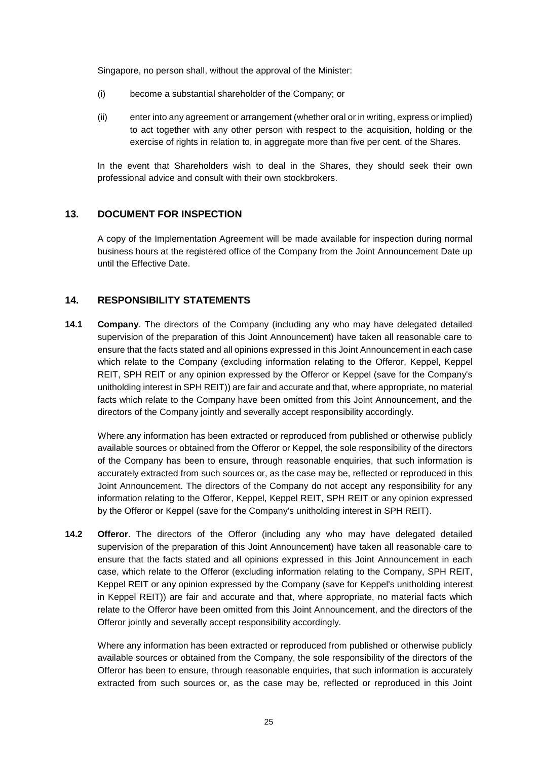Singapore, no person shall, without the approval of the Minister:

- (i) become a substantial shareholder of the Company; or
- (ii) enter into any agreement or arrangement (whether oral or in writing, express or implied) to act together with any other person with respect to the acquisition, holding or the exercise of rights in relation to, in aggregate more than five per cent. of the Shares.

In the event that Shareholders wish to deal in the Shares, they should seek their own professional advice and consult with their own stockbrokers.

### **13. DOCUMENT FOR INSPECTION**

A copy of the Implementation Agreement will be made available for inspection during normal business hours at the registered office of the Company from the Joint Announcement Date up until the Effective Date.

## **14. RESPONSIBILITY STATEMENTS**

**14.1 Company**. The directors of the Company (including any who may have delegated detailed supervision of the preparation of this Joint Announcement) have taken all reasonable care to ensure that the facts stated and all opinions expressed in this Joint Announcement in each case which relate to the Company (excluding information relating to the Offeror, Keppel, Keppel REIT, SPH REIT or any opinion expressed by the Offeror or Keppel (save for the Company's unitholding interest in SPH REIT)) are fair and accurate and that, where appropriate, no material facts which relate to the Company have been omitted from this Joint Announcement, and the directors of the Company jointly and severally accept responsibility accordingly.

Where any information has been extracted or reproduced from published or otherwise publicly available sources or obtained from the Offeror or Keppel, the sole responsibility of the directors of the Company has been to ensure, through reasonable enquiries, that such information is accurately extracted from such sources or, as the case may be, reflected or reproduced in this Joint Announcement. The directors of the Company do not accept any responsibility for any information relating to the Offeror, Keppel, Keppel REIT, SPH REIT or any opinion expressed by the Offeror or Keppel (save for the Company's unitholding interest in SPH REIT).

**14.2 Offeror**. The directors of the Offeror (including any who may have delegated detailed supervision of the preparation of this Joint Announcement) have taken all reasonable care to ensure that the facts stated and all opinions expressed in this Joint Announcement in each case, which relate to the Offeror (excluding information relating to the Company, SPH REIT, Keppel REIT or any opinion expressed by the Company (save for Keppel's unitholding interest in Keppel REIT)) are fair and accurate and that, where appropriate, no material facts which relate to the Offeror have been omitted from this Joint Announcement, and the directors of the Offeror jointly and severally accept responsibility accordingly.

Where any information has been extracted or reproduced from published or otherwise publicly available sources or obtained from the Company, the sole responsibility of the directors of the Offeror has been to ensure, through reasonable enquiries, that such information is accurately extracted from such sources or, as the case may be, reflected or reproduced in this Joint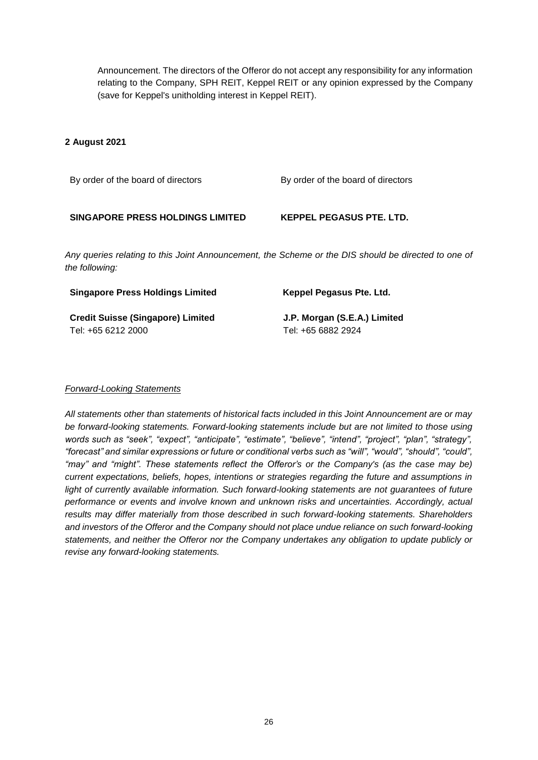Announcement. The directors of the Offeror do not accept any responsibility for any information relating to the Company, SPH REIT, Keppel REIT or any opinion expressed by the Company (save for Keppel's unitholding interest in Keppel REIT).

### **2 August 2021**

By order of the board of directors By order of the board of directors

### **SINGAPORE PRESS HOLDINGS LIMITED KEPPEL PEGASUS PTE. LTD.**

*Any queries relating to this Joint Announcement, the Scheme or the DIS should be directed to one of the following:*

| <b>Singapore Press Holdings Limited</b>  | Keppel Pegasus Pte. Ltd.     |
|------------------------------------------|------------------------------|
| <b>Credit Suisse (Singapore) Limited</b> | J.P. Morgan (S.E.A.) Limited |
| Tel: +65 6212 2000                       | Tel: +65 6882 2924           |

## *Forward-Looking Statements*

*All statements other than statements of historical facts included in this Joint Announcement are or may be forward-looking statements. Forward-looking statements include but are not limited to those using words such as "seek", "expect", "anticipate", "estimate", "believe", "intend", "project", "plan", "strategy", "forecast" and similar expressions or future or conditional verbs such as "will", "would", "should", "could", "may" and "might". These statements reflect the Offeror's or the Company's (as the case may be) current expectations, beliefs, hopes, intentions or strategies regarding the future and assumptions in*  light of currently available information. Such forward-looking statements are not guarantees of future *performance or events and involve known and unknown risks and uncertainties. Accordingly, actual results may differ materially from those described in such forward-looking statements. Shareholders and investors of the Offeror and the Company should not place undue reliance on such forward-looking statements, and neither the Offeror nor the Company undertakes any obligation to update publicly or revise any forward-looking statements.*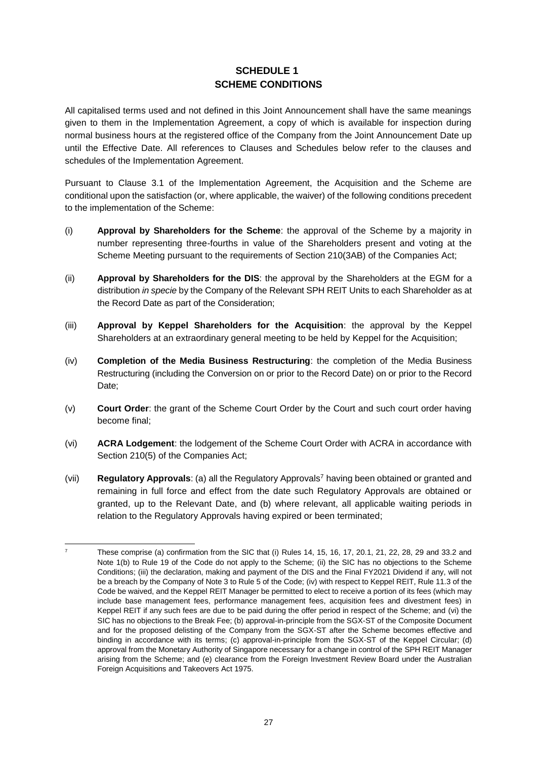# **SCHEDULE 1 SCHEME CONDITIONS**

All capitalised terms used and not defined in this Joint Announcement shall have the same meanings given to them in the Implementation Agreement, a copy of which is available for inspection during normal business hours at the registered office of the Company from the Joint Announcement Date up until the Effective Date. All references to Clauses and Schedules below refer to the clauses and schedules of the Implementation Agreement.

Pursuant to Clause 3.1 of the Implementation Agreement, the Acquisition and the Scheme are conditional upon the satisfaction (or, where applicable, the waiver) of the following conditions precedent to the implementation of the Scheme:

- (i) **Approval by Shareholders for the Scheme**: the approval of the Scheme by a majority in number representing three-fourths in value of the Shareholders present and voting at the Scheme Meeting pursuant to the requirements of Section 210(3AB) of the Companies Act;
- (ii) **Approval by Shareholders for the DIS**: the approval by the Shareholders at the EGM for a distribution *in specie* by the Company of the Relevant SPH REIT Units to each Shareholder as at the Record Date as part of the Consideration;
- (iii) **Approval by Keppel Shareholders for the Acquisition**: the approval by the Keppel Shareholders at an extraordinary general meeting to be held by Keppel for the Acquisition;
- (iv) **Completion of the Media Business Restructuring**: the completion of the Media Business Restructuring (including the Conversion on or prior to the Record Date) on or prior to the Record Date;
- (v) **Court Order**: the grant of the Scheme Court Order by the Court and such court order having become final;
- (vi) **ACRA Lodgement**: the lodgement of the Scheme Court Order with ACRA in accordance with Section 210(5) of the Companies Act;
- (vii) **Regulatory Approvals**: (a) all the Regulatory Approvals<sup>7</sup> having been obtained or granted and remaining in full force and effect from the date such Regulatory Approvals are obtained or granted, up to the Relevant Date, and (b) where relevant, all applicable waiting periods in relation to the Regulatory Approvals having expired or been terminated;

 $\overline{z}$ <sup>7</sup> These comprise (a) confirmation from the SIC that (i) Rules 14, 15, 16, 17, 20.1, 21, 22, 28, 29 and 33.2 and Note 1(b) to Rule 19 of the Code do not apply to the Scheme; (ii) the SIC has no objections to the Scheme Conditions; (iii) the declaration, making and payment of the DIS and the Final FY2021 Dividend if any, will not be a breach by the Company of Note 3 to Rule 5 of the Code; (iv) with respect to Keppel REIT, Rule 11.3 of the Code be waived, and the Keppel REIT Manager be permitted to elect to receive a portion of its fees (which may include base management fees, performance management fees, acquisition fees and divestment fees) in Keppel REIT if any such fees are due to be paid during the offer period in respect of the Scheme; and (vi) the SIC has no objections to the Break Fee; (b) approval-in-principle from the SGX-ST of the Composite Document and for the proposed delisting of the Company from the SGX-ST after the Scheme becomes effective and binding in accordance with its terms; (c) approval-in-principle from the SGX-ST of the Keppel Circular; (d) approval from the Monetary Authority of Singapore necessary for a change in control of the SPH REIT Manager arising from the Scheme; and (e) clearance from the Foreign Investment Review Board under the Australian Foreign Acquisitions and Takeovers Act 1975.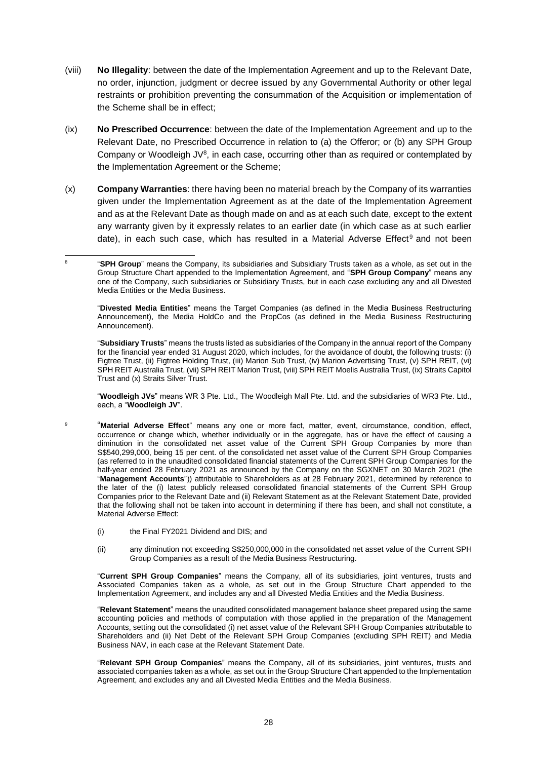- (viii) **No Illegality**: between the date of the Implementation Agreement and up to the Relevant Date, no order, injunction, judgment or decree issued by any Governmental Authority or other legal restraints or prohibition preventing the consummation of the Acquisition or implementation of the Scheme shall be in effect;
- (ix) **No Prescribed Occurrence**: between the date of the Implementation Agreement and up to the Relevant Date, no Prescribed Occurrence in relation to (a) the Offeror; or (b) any SPH Group Company or Woodleigh  $JV^8$ , in each case, occurring other than as required or contemplated by the Implementation Agreement or the Scheme;
- (x) **Company Warranties**: there having been no material breach by the Company of its warranties given under the Implementation Agreement as at the date of the Implementation Agreement and as at the Relevant Date as though made on and as at each such date, except to the extent any warranty given by it expressly relates to an earlier date (in which case as at such earlier date), in each such case, which has resulted in a Material Adverse Effect<sup>9</sup> and not been

1 8 "**SPH Group**" means the Company, its subsidiaries and Subsidiary Trusts taken as a whole, as set out in the Group Structure Chart appended to the Implementation Agreement, and "**SPH Group Company**" means any one of the Company, such subsidiaries or Subsidiary Trusts, but in each case excluding any and all Divested Media Entities or the Media Business.

"**Divested Media Entities**" means the Target Companies (as defined in the Media Business Restructuring Announcement), the Media HoldCo and the PropCos (as defined in the Media Business Restructuring Announcement).

"**Subsidiary Trusts**" means the trusts listed as subsidiaries of the Company in the annual report of the Company for the financial year ended 31 August 2020, which includes, for the avoidance of doubt, the following trusts: (i) Figtree Trust, (ii) Figtree Holding Trust, (iii) Marion Sub Trust, (iv) Marion Advertising Trust, (v) SPH REIT, (vi) SPH REIT Australia Trust, (vii) SPH REIT Marion Trust, (viii) SPH REIT Moelis Australia Trust, (ix) Straits Capitol Trust and (x) Straits Silver Trust.

"**Woodleigh JVs**" means WR 3 Pte. Ltd., The Woodleigh Mall Pte. Ltd. and the subsidiaries of WR3 Pte. Ltd., each, a "**Woodleigh JV**".

- "**Material Adverse Effect**" means any one or more fact, matter, event, circumstance, condition, effect, occurrence or change which, whether individually or in the aggregate, has or have the effect of causing a diminution in the consolidated net asset value of the Current SPH Group Companies by more than S\$540,299,000, being 15 per cent. of the consolidated net asset value of the Current SPH Group Companies (as referred to in the unaudited consolidated financial statements of the Current SPH Group Companies for the half-year ended 28 February 2021 as announced by the Company on the SGXNET on 30 March 2021 (the "**Management Accounts**")) attributable to Shareholders as at 28 February 2021, determined by reference to the later of the (i) latest publicly released consolidated financial statements of the Current SPH Group Companies prior to the Relevant Date and (ii) Relevant Statement as at the Relevant Statement Date, provided that the following shall not be taken into account in determining if there has been, and shall not constitute, a Material Adverse Effect:
	- (i) the Final FY2021 Dividend and DIS; and

9

(ii) any diminution not exceeding S\$250,000,000 in the consolidated net asset value of the Current SPH Group Companies as a result of the Media Business Restructuring.

"**Current SPH Group Companies**" means the Company, all of its subsidiaries, joint ventures, trusts and Associated Companies taken as a whole, as set out in the Group Structure Chart appended to the Implementation Agreement, and includes any and all Divested Media Entities and the Media Business.

"**Relevant Statement**" means the unaudited consolidated management balance sheet prepared using the same accounting policies and methods of computation with those applied in the preparation of the Management Accounts, setting out the consolidated (i) net asset value of the Relevant SPH Group Companies attributable to Shareholders and (ii) Net Debt of the Relevant SPH Group Companies (excluding SPH REIT) and Media Business NAV, in each case at the Relevant Statement Date.

"**Relevant SPH Group Companies**" means the Company, all of its subsidiaries, joint ventures, trusts and associated companies taken as a whole, as set out in the Group Structure Chart appended to the Implementation Agreement, and excludes any and all Divested Media Entities and the Media Business.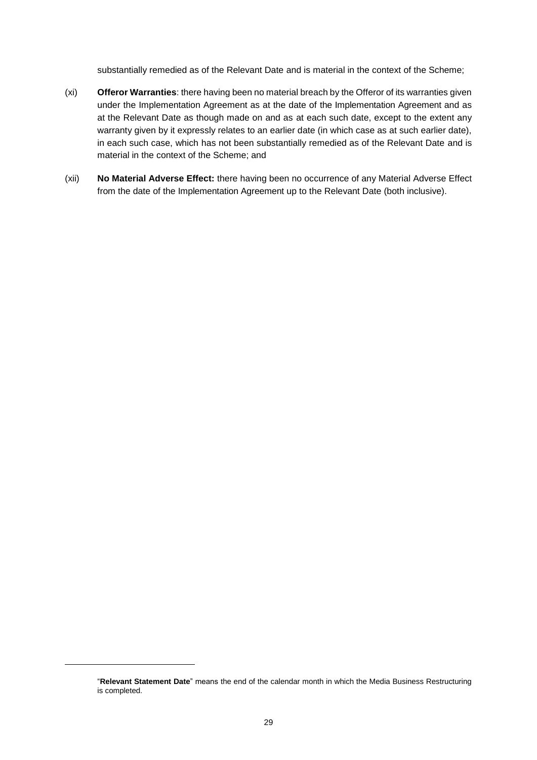substantially remedied as of the Relevant Date and is material in the context of the Scheme;

- (xi) **Offeror Warranties**: there having been no material breach by the Offeror of its warranties given under the Implementation Agreement as at the date of the Implementation Agreement and as at the Relevant Date as though made on and as at each such date, except to the extent any warranty given by it expressly relates to an earlier date (in which case as at such earlier date), in each such case, which has not been substantially remedied as of the Relevant Date and is material in the context of the Scheme; and
- (xii) **No Material Adverse Effect:** there having been no occurrence of any Material Adverse Effect from the date of the Implementation Agreement up to the Relevant Date (both inclusive).

1

<sup>&</sup>quot;**Relevant Statement Date**" means the end of the calendar month in which the Media Business Restructuring is completed.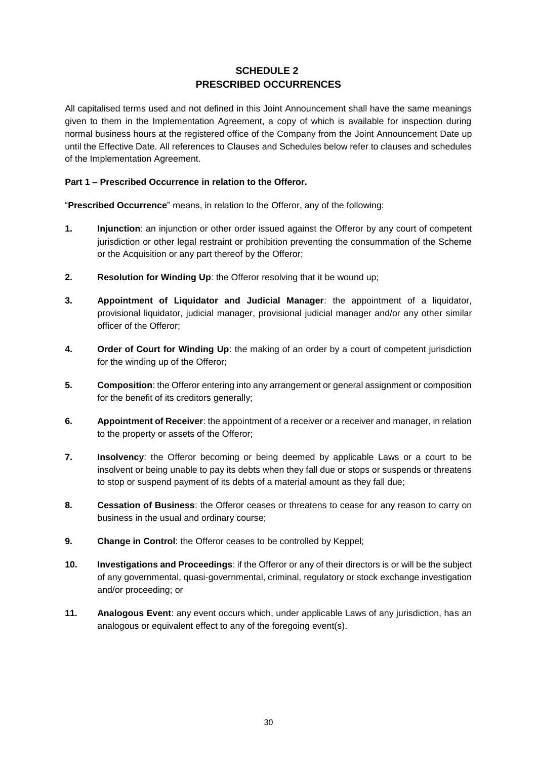# **SCHEDULE 2 PRESCRIBED OCCURRENCES**

All capitalised terms used and not defined in this Joint Announcement shall have the same meanings given to them in the Implementation Agreement, a copy of which is available for inspection during normal business hours at the registered office of the Company from the Joint Announcement Date up until the Effective Date. All references to Clauses and Schedules below refer to clauses and schedules of the Implementation Agreement.

### **Part 1 – Prescribed Occurrence in relation to the Offeror.**

"**Prescribed Occurrence**" means, in relation to the Offeror, any of the following:

- **1. Injunction**: an injunction or other order issued against the Offeror by any court of competent jurisdiction or other legal restraint or prohibition preventing the consummation of the Scheme or the Acquisition or any part thereof by the Offeror;
- **2. Resolution for Winding Up**: the Offeror resolving that it be wound up;
- **3. Appointment of Liquidator and Judicial Manager**: the appointment of a liquidator, provisional liquidator, judicial manager, provisional judicial manager and/or any other similar officer of the Offeror;
- **4. Order of Court for Winding Up**: the making of an order by a court of competent jurisdiction for the winding up of the Offeror;
- **5. Composition**: the Offeror entering into any arrangement or general assignment or composition for the benefit of its creditors generally;
- **6. Appointment of Receiver**: the appointment of a receiver or a receiver and manager, in relation to the property or assets of the Offeror;
- **7. Insolvency**: the Offeror becoming or being deemed by applicable Laws or a court to be insolvent or being unable to pay its debts when they fall due or stops or suspends or threatens to stop or suspend payment of its debts of a material amount as they fall due;
- **8. Cessation of Business**: the Offeror ceases or threatens to cease for any reason to carry on business in the usual and ordinary course;
- **9. Change in Control**: the Offeror ceases to be controlled by Keppel;
- **10. Investigations and Proceedings**: if the Offeror or any of their directors is or will be the subject of any governmental, quasi-governmental, criminal, regulatory or stock exchange investigation and/or proceeding; or
- **11. Analogous Event**: any event occurs which, under applicable Laws of any jurisdiction, has an analogous or equivalent effect to any of the foregoing event(s).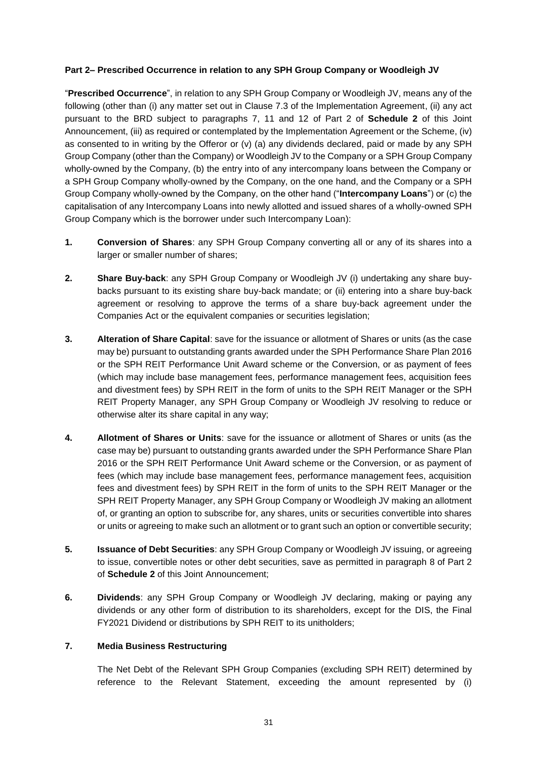### **Part 2– Prescribed Occurrence in relation to any SPH Group Company or Woodleigh JV**

"**Prescribed Occurrence**", in relation to any SPH Group Company or Woodleigh JV, means any of the following (other than (i) any matter set out in Clause 7.3 of the Implementation Agreement, (ii) any act pursuant to the BRD subject to paragraphs 7, 11 and 12 of Part 2 of **Schedule 2** of this Joint Announcement, (iii) as required or contemplated by the Implementation Agreement or the Scheme, (iv) as consented to in writing by the Offeror or (v) (a) any dividends declared, paid or made by any SPH Group Company (other than the Company) or Woodleigh JV to the Company or a SPH Group Company wholly-owned by the Company, (b) the entry into of any intercompany loans between the Company or a SPH Group Company wholly-owned by the Company, on the one hand, and the Company or a SPH Group Company wholly-owned by the Company, on the other hand ("**Intercompany Loans**") or (c) the capitalisation of any Intercompany Loans into newly allotted and issued shares of a wholly-owned SPH Group Company which is the borrower under such Intercompany Loan):

- **1. Conversion of Shares**: any SPH Group Company converting all or any of its shares into a larger or smaller number of shares;
- **2. Share Buy-back**: any SPH Group Company or Woodleigh JV (i) undertaking any share buybacks pursuant to its existing share buy-back mandate; or (ii) entering into a share buy-back agreement or resolving to approve the terms of a share buy-back agreement under the Companies Act or the equivalent companies or securities legislation;
- **3. Alteration of Share Capital**: save for the issuance or allotment of Shares or units (as the case may be) pursuant to outstanding grants awarded under the SPH Performance Share Plan 2016 or the SPH REIT Performance Unit Award scheme or the Conversion, or as payment of fees (which may include base management fees, performance management fees, acquisition fees and divestment fees) by SPH REIT in the form of units to the SPH REIT Manager or the SPH REIT Property Manager, any SPH Group Company or Woodleigh JV resolving to reduce or otherwise alter its share capital in any way;
- **4. Allotment of Shares or Units**: save for the issuance or allotment of Shares or units (as the case may be) pursuant to outstanding grants awarded under the SPH Performance Share Plan 2016 or the SPH REIT Performance Unit Award scheme or the Conversion, or as payment of fees (which may include base management fees, performance management fees, acquisition fees and divestment fees) by SPH REIT in the form of units to the SPH REIT Manager or the SPH REIT Property Manager, any SPH Group Company or Woodleigh JV making an allotment of, or granting an option to subscribe for, any shares, units or securities convertible into shares or units or agreeing to make such an allotment or to grant such an option or convertible security;
- **5. Issuance of Debt Securities**: any SPH Group Company or Woodleigh JV issuing, or agreeing to issue, convertible notes or other debt securities, save as permitted in paragraph 8 of Part 2 of **Schedule 2** of this Joint Announcement;
- **6. Dividends**: any SPH Group Company or Woodleigh JV declaring, making or paying any dividends or any other form of distribution to its shareholders, except for the DIS, the Final FY2021 Dividend or distributions by SPH REIT to its unitholders;

## **7. Media Business Restructuring**

The Net Debt of the Relevant SPH Group Companies (excluding SPH REIT) determined by reference to the Relevant Statement, exceeding the amount represented by (i)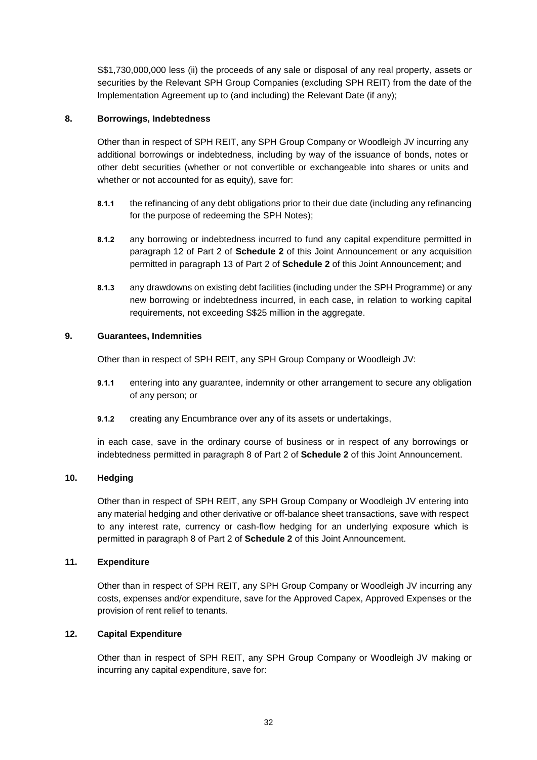S\$1,730,000,000 less (ii) the proceeds of any sale or disposal of any real property, assets or securities by the Relevant SPH Group Companies (excluding SPH REIT) from the date of the Implementation Agreement up to (and including) the Relevant Date (if any);

### **8. Borrowings, Indebtedness**

Other than in respect of SPH REIT, any SPH Group Company or Woodleigh JV incurring any additional borrowings or indebtedness, including by way of the issuance of bonds, notes or other debt securities (whether or not convertible or exchangeable into shares or units and whether or not accounted for as equity), save for:

- **8.1.1** the refinancing of any debt obligations prior to their due date (including any refinancing for the purpose of redeeming the SPH Notes);
- **8.1.2** any borrowing or indebtedness incurred to fund any capital expenditure permitted in paragraph 12 of Part 2 of **Schedule 2** of this Joint Announcement or any acquisition permitted in paragraph 13 of Part 2 of **Schedule 2** of this Joint Announcement; and
- **8.1.3** any drawdowns on existing debt facilities (including under the SPH Programme) or any new borrowing or indebtedness incurred, in each case, in relation to working capital requirements, not exceeding S\$25 million in the aggregate.

### **9. Guarantees, Indemnities**

Other than in respect of SPH REIT, any SPH Group Company or Woodleigh JV:

- **9.1.1** entering into any guarantee, indemnity or other arrangement to secure any obligation of any person; or
- **9.1.2** creating any Encumbrance over any of its assets or undertakings,

in each case, save in the ordinary course of business or in respect of any borrowings or indebtedness permitted in paragraph 8 of Part 2 of **Schedule 2** of this Joint Announcement.

### **10. Hedging**

Other than in respect of SPH REIT, any SPH Group Company or Woodleigh JV entering into any material hedging and other derivative or off-balance sheet transactions, save with respect to any interest rate, currency or cash-flow hedging for an underlying exposure which is permitted in paragraph 8 of Part 2 of **Schedule 2** of this Joint Announcement.

### **11. Expenditure**

Other than in respect of SPH REIT, any SPH Group Company or Woodleigh JV incurring any costs, expenses and/or expenditure, save for the Approved Capex, Approved Expenses or the provision of rent relief to tenants.

### **12. Capital Expenditure**

Other than in respect of SPH REIT, any SPH Group Company or Woodleigh JV making or incurring any capital expenditure, save for: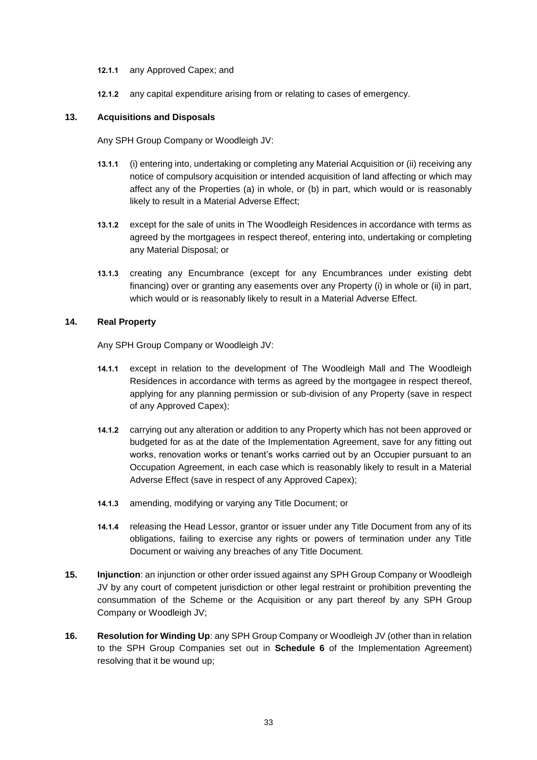- **12.1.1** any Approved Capex; and
- **12.1.2** any capital expenditure arising from or relating to cases of emergency.

#### **13. Acquisitions and Disposals**

Any SPH Group Company or Woodleigh JV:

- **13.1.1** (i) entering into, undertaking or completing any Material Acquisition or (ii) receiving any notice of compulsory acquisition or intended acquisition of land affecting or which may affect any of the Properties (a) in whole, or (b) in part, which would or is reasonably likely to result in a Material Adverse Effect;
- **13.1.2** except for the sale of units in The Woodleigh Residences in accordance with terms as agreed by the mortgagees in respect thereof, entering into, undertaking or completing any Material Disposal; or
- **13.1.3** creating any Encumbrance (except for any Encumbrances under existing debt financing) over or granting any easements over any Property (i) in whole or (ii) in part, which would or is reasonably likely to result in a Material Adverse Effect.

#### **14. Real Property**

Any SPH Group Company or Woodleigh JV:

- **14.1.1** except in relation to the development of The Woodleigh Mall and The Woodleigh Residences in accordance with terms as agreed by the mortgagee in respect thereof, applying for any planning permission or sub-division of any Property (save in respect of any Approved Capex);
- **14.1.2** carrying out any alteration or addition to any Property which has not been approved or budgeted for as at the date of the Implementation Agreement, save for any fitting out works, renovation works or tenant's works carried out by an Occupier pursuant to an Occupation Agreement, in each case which is reasonably likely to result in a Material Adverse Effect (save in respect of any Approved Capex);
- **14.1.3** amending, modifying or varying any Title Document; or
- **14.1.4** releasing the Head Lessor, grantor or issuer under any Title Document from any of its obligations, failing to exercise any rights or powers of termination under any Title Document or waiving any breaches of any Title Document.
- **15. Injunction**: an injunction or other order issued against any SPH Group Company or Woodleigh JV by any court of competent jurisdiction or other legal restraint or prohibition preventing the consummation of the Scheme or the Acquisition or any part thereof by any SPH Group Company or Woodleigh JV;
- **16. Resolution for Winding Up**: any SPH Group Company or Woodleigh JV (other than in relation to the SPH Group Companies set out in **Schedule 6** of the Implementation Agreement) resolving that it be wound up;